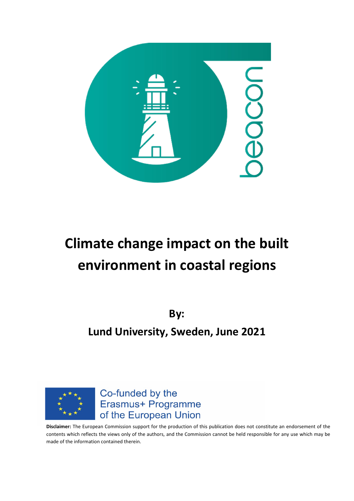

# **Climate change impact on the built environment in coastal regions**

**By: Lund University, Sweden, June 2021**



Co-funded by the Erasmus+ Programme of the European Union

**Disclaimer:** The European Commission support for the production of this publication does not constitute an endorsement of the contents which reflects the views only of the authors, and the Commission cannot be held responsible for any use which may be made of the information contained therein.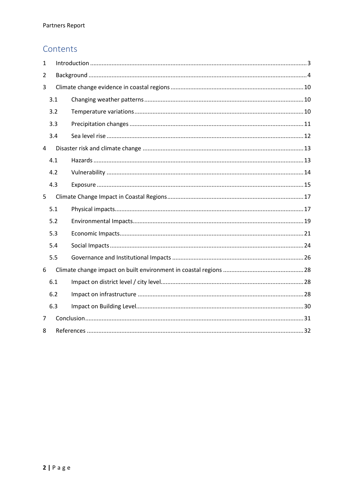# Contents

| $\mathbf{1}$ |     |  |  |  |  |
|--------------|-----|--|--|--|--|
| 2            |     |  |  |  |  |
| 3            |     |  |  |  |  |
|              | 3.1 |  |  |  |  |
|              | 3.2 |  |  |  |  |
|              | 3.3 |  |  |  |  |
|              | 3.4 |  |  |  |  |
| 4            |     |  |  |  |  |
|              | 4.1 |  |  |  |  |
|              | 4.2 |  |  |  |  |
|              | 4.3 |  |  |  |  |
| 5            |     |  |  |  |  |
|              | 5.1 |  |  |  |  |
|              | 5.2 |  |  |  |  |
|              | 5.3 |  |  |  |  |
|              | 5.4 |  |  |  |  |
|              | 5.5 |  |  |  |  |
| 6            |     |  |  |  |  |
|              | 6.1 |  |  |  |  |
|              | 6.2 |  |  |  |  |
|              | 6.3 |  |  |  |  |
| 7            |     |  |  |  |  |
| 8            |     |  |  |  |  |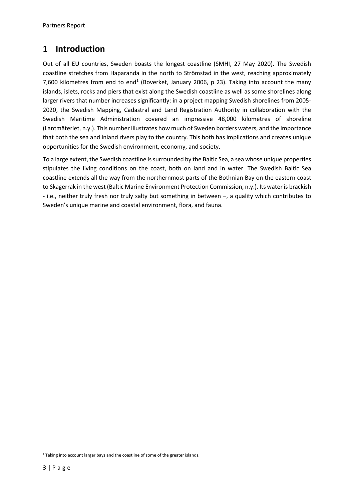# <span id="page-2-0"></span>**1 Introduction**

Out of all EU countries, Sweden boasts the longest coastline (SMHI, 27 May 2020). The Swedish coastline stretches from Haparanda in the north to Strömstad in the west, reaching approximately 7,600 kilometres from end to end<sup>[1](#page-2-1)</sup> (Boverket, January 2006, p 23). Taking into account the many islands, islets, rocks and piers that exist along the Swedish coastline as well as some shorelines along larger rivers that number increases significantly: in a project mapping Swedish shorelines from 2005- 2020, the Swedish Mapping, Cadastral and Land Registration Authority in collaboration with the Swedish Maritime Administration covered an impressive 48,000 kilometres of shoreline (Lantmäteriet, n.y.). This number illustrates how much of Sweden borders waters, and the importance that both the sea and inland rivers play to the country. This both has implications and creates unique opportunities for the Swedish environment, economy, and society.

To a large extent, the Swedish coastline is surrounded by the Baltic Sea, a sea whose unique properties stipulates the living conditions on the coast, both on land and in water. The Swedish Baltic Sea coastline extends all the way from the northernmost parts of the Bothnian Bay on the eastern coast to Skagerrak in the west (Baltic Marine Environment Protection Commission, n.y.). Its water is brackish - i.e., neither truly fresh nor truly salty but something in between –, a quality which contributes to Sweden's unique marine and coastal environment, flora, and fauna.

<span id="page-2-1"></span><sup>&</sup>lt;sup>1</sup> Taking into account larger bays and the coastline of some of the greater islands.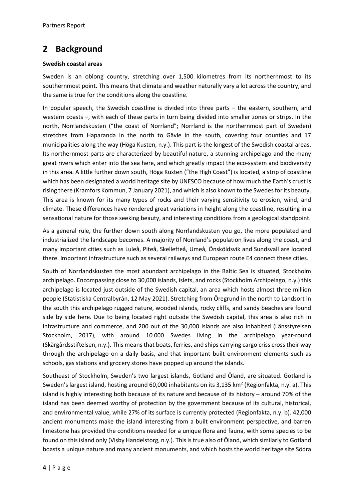# <span id="page-3-0"></span>**2 Background**

#### **Swedish coastal areas**

Sweden is an oblong country, stretching over 1,500 kilometres from its northernmost to its southernmost point. This means that climate and weather naturally vary a lot across the country, and the same is true for the conditions along the coastline.

In popular speech, the Swedish coastline is divided into three parts – the eastern, southern, and western coasts –, with each of these parts in turn being divided into smaller zones or strips. In the north, Norrlandskusten ("the coast of Norrland"; Norrland is the northernmost part of Sweden) stretches from Haparanda in the north to Gävle in the south, covering four counties and 17 municipalities along the way (Höga Kusten, n.y.). This part is the longest of the Swedish coastal areas. Its northernmost parts are characterized by beautiful nature, a stunning archipelago and the many great rivers which enter into the sea here, and which greatly impact the eco-system and biodiversity in this area. A little further down south, Höga Kusten ("the High Coast") is located, a strip of coastline which has been designated a world heritage site by UNESCO because of how much the Earth's crust is rising there (Kramfors Kommun, 7 January 2021), and which is also known to the Swedes for its beauty. This area is known for its many types of rocks and their varying sensitivity to erosion, wind, and climate. These differences have rendered great variations in height along the coastline, resulting in a sensational nature for those seeking beauty, and interesting conditions from a geological standpoint.

As a general rule, the further down south along Norrlandskusten you go, the more populated and industrialized the landscape becomes. A majority of Norrland's population lives along the coast, and many important cities such as Luleå, Piteå, Skellefteå, Umeå, Önsköldsvik and Sundsvall are located there. Important infrastructure such as several railways and European route E4 connect these cities.

South of Norrlandskusten the most abundant archipelago in the Baltic Sea is situated, Stockholm archipelago. Encompassing close to 30,000 islands, islets, and rocks (Stockholm Archipelago, n.y.) this archipelago is located just outside of the Swedish capital, an area which hosts almost three million people (Statistiska Centralbyrån, 12 May 2021). Stretching from Öregrund in the north to Landsort in the south this archipelago rugged nature, wooded islands, rocky cliffs, and sandy beaches are found side by side here. Due to being located right outside the Swedish capital, this area is also rich in infrastructure and commerce, and 200 out of the 30,000 islands are also inhabited (Länsstyrelsen Stockholm, 2017), with around 10 000 Swedes living in the archipelago year-round (Skärgårdsstiftelsen, n.y.). This means that boats, ferries, and ships carrying cargo criss cross their way through the archipelago on a daily basis, and that important built environment elements such as schools, gas stations and grocery stores have popped up around the islands.

Southeast of Stockholm, Sweden's two largest islands, Gotland and Öland, are situated. Gotland is Sweden's largest island, hosting around 60,000 inhabitants on its 3,135 km<sup>2</sup> (Regionfakta, n.y. a). This island is highly interesting both because of its nature and because of its history – around 70% of the island has been deemed worthy of protection by the government because of its cultural, historical, and environmental value, while 27% of its surface is currently protected (Regionfakta, n.y. b). 42,000 ancient monuments make the island interesting from a built environment perspective, and barren limestone has provided the conditions needed for a unique flora and fauna, with some species to be found on this island only (Visby Handelstorg, n.y.). This is true also of Öland, which similarly to Gotland boasts a unique nature and many ancient monuments, and which hosts the world heritage site Södra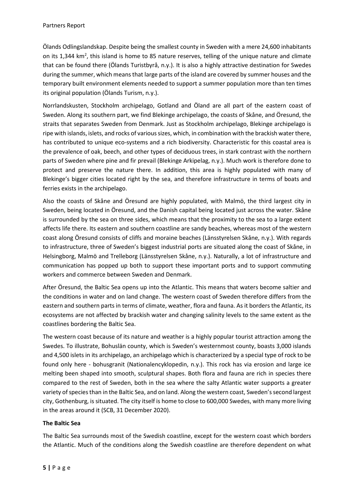Ölands Odlingslandskap. Despite being the smallest county in Sweden with a mere 24,600 inhabitants on its 1,344 km<sup>2</sup>, this island is home to 85 nature reserves, telling of the unique nature and climate that can be found there (Ölands Turistbyrå, n.y.). It is also a highly attractive destination for Swedes during the summer, which means that large parts of the island are covered by summer houses and the temporary built environment elements needed to support a summer population more than ten times its original population (Ölands Turism, n.y.).

Norrlandskusten, Stockholm archipelago, Gotland and Öland are all part of the eastern coast of Sweden. Along its southern part, we find Blekinge archipelago, the coasts of Skåne, and Öresund, the straits that separates Sweden from Denmark. Just as Stockholm archipelago, Blekinge archipelago is ripe with islands, islets, and rocks of various sizes, which, in combination with the brackish water there, has contributed to unique eco-systems and a rich biodiversity. Characteristic for this coastal area is the prevalence of oak, beech, and other types of deciduous trees, in stark contrast with the northern parts of Sweden where pine and fir prevail (Blekinge Arkipelag, n.y.). Much work is therefore done to protect and preserve the nature there. In addition, this area is highly populated with many of Blekinge's bigger cities located right by the sea, and therefore infrastructure in terms of boats and ferries exists in the archipelago.

Also the coasts of Skåne and Öresund are highly populated, with Malmö, the third largest city in Sweden, being located in Öresund, and the Danish capital being located just across the water. Skåne is surrounded by the sea on three sides, which means that the proximity to the sea to a large extent affects life there. Its eastern and southern coastline are sandy beaches, whereas most of the western coast along Öresund consists of cliffs and moraine beaches (Länsstyrelsen Skåne, n.y.). With regards to infrastructure, three of Sweden's biggest industrial ports are situated along the coast of Skåne, in Helsingborg, Malmö and Trelleborg (Länsstyrelsen Skåne, n.y.). Naturally, a lot of infrastructure and communication has popped up both to support these important ports and to support commuting workers and commerce between Sweden and Denmark.

After Öresund, the Baltic Sea opens up into the Atlantic. This means that waters become saltier and the conditions in water and on land change. The western coast of Sweden therefore differs from the eastern and southern parts in terms of climate, weather, flora and fauna. As it borders the Atlantic, its ecosystems are not affected by brackish water and changing salinity levels to the same extent as the coastlines bordering the Baltic Sea.

The western coast because of its nature and weather is a highly popular tourist attraction among the Swedes. To illustrate, Bohuslän county, which is Sweden's westernmost county, boasts 3,000 islands and 4,500 islets in its archipelago, an archipelago which is characterized by a special type of rock to be found only here - bohusgranit (Nationalencyklopedin, n.y.). This rock has via erosion and large ice melting been shaped into smooth, sculptural shapes. Both flora and fauna are rich in species there compared to the rest of Sweden, both in the sea where the salty Atlantic water supports a greater variety of species than in the Baltic Sea, and on land. Along the western coast, Sweden's second largest city, Gothenburg, is situated. The city itself is home to close to 600,000 Swedes, with many more living in the areas around it (SCB, 31 December 2020).

# **The Baltic Sea**

The Baltic Sea surrounds most of the Swedish coastline, except for the western coast which borders the Atlantic. Much of the conditions along the Swedish coastline are therefore dependent on what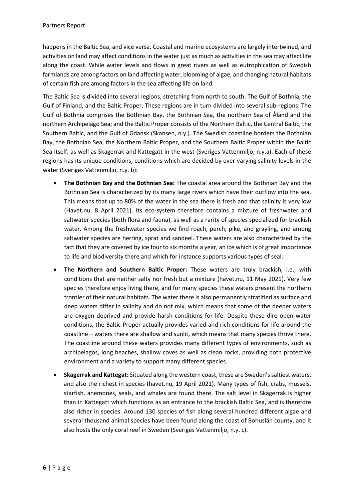happens in the Baltic Sea, and vice versa. Coastal and marine ecosystems are largely intertwined, and activities on land may affect conditions in the water just as much as activities in the sea may affect life along the coast. While water levels and flows in great rivers as well as eutrophication of Swedish farmlands are among factors on land affecting water, blooming of algae, and changing natural habitats of certain fish are among factors in the sea affecting life on land.

The Baltic Sea is divided into several regions, stretching from north to south: The Gulf of Bothnia, the Gulf of Finland, and the Baltic Proper. These regions are in turn divided into several sub-regions: The Gulf of Bothnia comprises the Bothnian Bay, the Bothnian Sea, the northern Sea of Åland and the northern Archipelago Sea; and the Baltic Proper consists of the Northern Baltic, the Central Baltic, the Southern Baltic, and the Gulf of Gdansk (Skansen, n.y.). The Swedish coastline borders the Bothnian Bay, the Bothnian Sea, the Northern Baltic Proper, and the Southern Baltic Proper within the Baltic Sea itself, as well as Skagerrak and Kattegatt in the west (Sveriges Vattenmiljö, n.y.a). Each of these regions has its unique conditions, conditions which are decided by ever-varying salinity levels in the water (Sveriges Vattenmiljö, n.y. b):

- **The Bothnian Bay and the Bothnian Sea:** The coastal area around the Bothnian Bay and the Bothnian Sea is characterized by its many large rivers which have their outflow into the sea. This means that up to 80% of the water in the sea there is fresh and that salinity is very low (Havet.nu, 8 April 2021). Its eco-system therefore contains a mixture of freshwater and saltwater species (both flora and fauna), as well as a rarity of species specialized for brackish water. Among the freshwater species we find roach, perch, pike, and grayling, and among saltwater species are herring, sprat and sandeel. These waters are also characterized by the fact that they are covered by ice four to six months a year, an ice which is of great importance to life and biodiversity there and which for instance supports various types of seal.
- **The Northern and Southern Baltic Proper:** These waters are truly brackish, i.e., with conditions that are neither salty nor fresh but a mixture (havet.nu, 11 May 2021). Very few species therefore enjoy living there, and for many species these waters present the northern frontier of their natural habitats. The water there is also permanently stratified assurface and deep waters differ in salinity and do not mix, which means that some of the deeper waters are oxygen deprived and provide harsh conditions for life. Despite these dire open water conditions, the Baltic Proper actually provides varied and rich conditions for life around the coastline – waters there are shallow and sunlit, which means that many species thrive there. The coastline around these waters provides many different types of environments, such as archipelagos, long beaches, shallow coves as well as clean rocks, providing both protective environment and a variety to support many different species.
- **Skagerrak and Kattegat:** Situated along the western coast, these are Sweden's saltiest waters, and also the richest in species (havet.nu, 19 April 2021). Many types of fish, crabs, mussels, starfish, anemones, seals, and whales are found there. The salt level in Skagerrak is higher than in Kattegatt which functions as an entrance to the brackish Baltic Sea, and is therefore also richer in species. Around 130 species of fish along several hundred different algae and several thousand animal species have been found along the coast of Bohuslän county, and it also hosts the only coral reef in Sweden (Sveriges Vattenmiljö, n.y. c).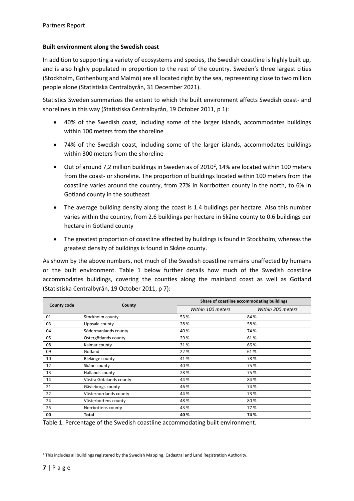#### **Built environment along the Swedish coast**

In addition to supporting a variety of ecosystems and species, the Swedish coastline is highly built up, and is also highly populated in proportion to the rest of the country. Sweden's three largest cities (Stockholm, Gothenburg and Malmö) are all located right by the sea, representing close to two million people alone (Statistiska Centralbyrån, 31 December 2021).

Statistics Sweden summarizes the extent to which the built environment affects Swedish coast- and shorelines in this way (Statistiska Centralbyrån, 19 October 2011, p 1):

- 40% of the Swedish coast, including some of the larger islands, accommodates buildings within 100 meters from the shoreline
- 74% of the Swedish coast, including some of the larger islands, accommodates buildings within 300 meters from the shoreline
- $\bullet$  Out of around 7,[2](#page-6-0) million buildings in Sweden as of 2010<sup>2</sup>, 14% are located within 100 meters from the coast- or shoreline. The proportion of buildings located within 100 meters from the coastline varies around the country, from 27% in Norrbotten county in the north, to 6% in Gotland county in the southeast
- The average building density along the coast is 1.4 buildings per hectare. Also this number varies within the country, from 2.6 buildings per hectare in Skåne county to 0.6 buildings per hectare in Gotland county
- The greatest proportion of coastline affected by buildings is found in Stockholm, whereas the greatest density of buildings is found in Skåne county.

As shown by the above numbers, not much of the Swedish coastline remains unaffected by humans or the built environment. Table 1 below further details how much of the Swedish coastline accommodates buildings, covering the counties along the mainland coast as well as Gotland (Statistiska Centralbyrån, 19 October 2011, p 7):

| <b>County code</b> | County                  | Share of coastline accommodating buildings |                   |  |
|--------------------|-------------------------|--------------------------------------------|-------------------|--|
|                    |                         | Within 100 meters                          | Within 300 meters |  |
| 01                 | Stockholm county        | 53 %                                       | 84 %              |  |
| 03                 | Uppsala county          | 28%                                        | 58%               |  |
| 04                 | Södermanlands county    | 40 %                                       | 74 %              |  |
| 05                 | Östergötlands county    | 29 %                                       | 61%               |  |
| 08                 | Kalmar county           | 31%                                        | 66 %              |  |
| 09                 | Gotland                 | 22 %                                       | 61%               |  |
| 10                 | <b>Blekinge county</b>  | 41%                                        | 78%               |  |
| 12                 | Skåne county            | 40%                                        | 75 %              |  |
| 13                 | Hallands county         | 28%                                        | 75 %              |  |
| 14                 | Västra Götalands county | 44 %                                       | 84 %              |  |
| 21                 | Gävleborgs county       | 46 %                                       | 74 %              |  |
| 22                 | Västernorrlands county  | 44 %                                       | 73%               |  |
| 24                 | Västerbottens county    | 48%                                        | 80%               |  |
| 25                 | Norrbottens county      | 43 %                                       | 77%               |  |
| 00                 | Total                   | 40 %                                       | 74 %              |  |

Table 1. Percentage of the Swedish coastline accommodating built environment.

<span id="page-6-0"></span><sup>&</sup>lt;sup>2</sup> This includes all buildings registered by the Swedish Mapping, Cadastral and Land Registration Authority.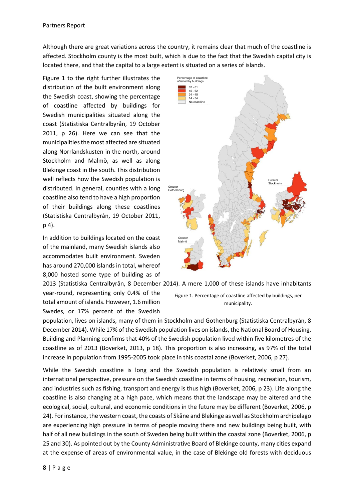Although there are great variations across the country, it remains clear that much of the coastline is affected. Stockholm county is the most built, which is due to the fact that the Swedish capital city is located there, and that the capital to a large extent is situated on a series of islands.

Figure 1 to the right further illustrates the distribution of the built environment along the Swedish coast, showing the percentage of coastline affected by buildings for Swedish municipalities situated along the coast (Statistiska Centralbyrån, 19 October 2011, p 26). Here we can see that the municipalities the most affected are situated along Norrlandskusten in the north, around Stockholm and Malmö, as well as along Blekinge coast in the south. This distribution well reflects how the Swedish population is distributed. In general, counties with a long coastline also tend to have a high proportion of their buildings along these coastlines (Statistiska Centralbyrån, 19 October 2011, p 4).

In addition to buildings located on the coast of the mainland, many Swedish islands also accommodates built environment. Sweden has around 270,000 islands in total, whereof 8,000 hosted some type of building as of

year-round, representing only 0.4% of the total amount of islands. However, 1.6 million Swedes, or 17% percent of the Swedish





Figure 1. Percentage of coastline affected by buildings, per municipality.

population, lives on islands, many of them in Stockholm and Gothenburg (Statistiska Centralbyrån, 8 December 2014). While 17% of the Swedish population lives on islands, the National Board of Housing, Building and Planning confirms that 40% of the Swedish population lived within five kilometres of the coastline as of 2013 (Boverket, 2013, p 18). This proportion is also increasing, as 97% of the total increase in population from 1995-2005 took place in this coastal zone (Boverket, 2006, p 27).

While the Swedish coastline is long and the Swedish population is relatively small from an international perspective, pressure on the Swedish coastline in terms of housing, recreation, tourism, and industries such as fishing, transport and energy is thus high (Boverket, 2006, p 23). Life along the coastline is also changing at a high pace, which means that the landscape may be altered and the ecological, social, cultural, and economic conditions in the future may be different (Boverket, 2006, p 24). For instance, the western coast, the coasts of Skåne and Blekinge as well as Stockholm archipelago are experiencing high pressure in terms of people moving there and new buildings being built, with half of all new buildings in the south of Sweden being built within the coastal zone (Boverket, 2006, p 25 and 30). As pointed out by the County Administrative Board of Blekinge county, many cities expand at the expense of areas of environmental value, in the case of Blekinge old forests with deciduous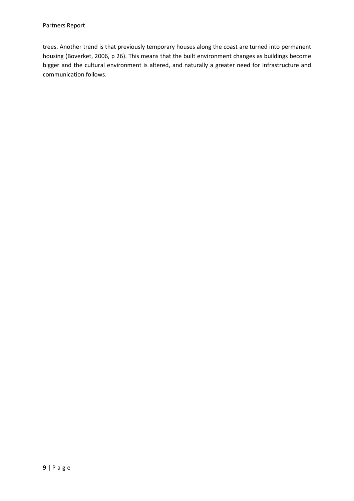trees. Another trend is that previously temporary houses along the coast are turned into permanent housing (Boverket, 2006, p 26). This means that the built environment changes as buildings become bigger and the cultural environment is altered, and naturally a greater need for infrastructure and communication follows.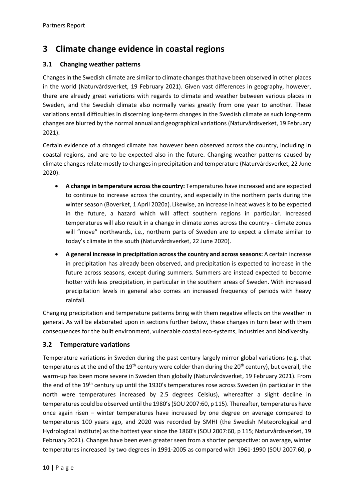# <span id="page-9-0"></span>**3 Climate change evidence in coastal regions**

# <span id="page-9-1"></span>**3.1 Changing weather patterns**

Changes in the Swedish climate are similar to climate changes that have been observed in other places in the world (Naturvårdsverket, 19 February 2021). Given vast differences in geography, however, there are already great variations with regards to climate and weather between various places in Sweden, and the Swedish climate also normally varies greatly from one year to another. These variations entail difficulties in discerning long-term changes in the Swedish climate as such long-term changes are blurred by the normal annual and geographical variations (Naturvårdsverket, 19 February 2021).

Certain evidence of a changed climate has however been observed across the country, including in coastal regions, and are to be expected also in the future. Changing weather patterns caused by climate changes relate mostly to changes in precipitation and temperature (Naturvårdsverket, 22 June 2020):

- **A change in temperature across the country:** Temperatures have increased and are expected to continue to increase across the country, and especially in the northern parts during the winter season (Boverket, 1 April 2020a). Likewise, an increase in heat waves is to be expected in the future, a hazard which will affect southern regions in particular. Increased temperatures will also result in a change in climate zones across the country - climate zones will "move" northwards, i.e., northern parts of Sweden are to expect a climate similar to today's climate in the south (Naturvårdsverket, 22 June 2020).
- **A general increase in precipitation across the country and across seasons:** A certain increase in precipitation has already been observed, and precipitation is expected to increase in the future across seasons, except during summers. Summers are instead expected to become hotter with less precipitation, in particular in the southern areas of Sweden. With increased precipitation levels in general also comes an increased frequency of periods with heavy rainfall.

Changing precipitation and temperature patterns bring with them negative effects on the weather in general. As will be elaborated upon in sections further below, these changes in turn bear with them consequences for the built environment, vulnerable coastal eco-systems, industries and biodiversity.

## <span id="page-9-2"></span>**3.2 Temperature variations**

Temperature variations in Sweden during the past century largely mirror global variations (e.g. that temperatures at the end of the  $19<sup>th</sup>$  century were colder than during the 20<sup>th</sup> century), but overall, the warm-up has been more severe in Sweden than globally (Naturvårdsverket, 19 February 2021). From the end of the 19th century up until the 1930's temperatures rose across Sweden (in particular in the north were temperatures increased by 2.5 degrees Celsius), whereafter a slight decline in temperatures could be observed until the 1980's(SOU 2007:60, p 115). Thereafter, temperatures have once again risen – winter temperatures have increased by one degree on average compared to temperatures 100 years ago, and 2020 was recorded by SMHI (the Swedish Meteorological and Hydrological Institute) as the hottest year since the 1860's (SOU 2007:60, p 115; Naturvårdsverket, 19 February 2021). Changes have been even greater seen from a shorter perspective: on average, winter temperatures increased by two degrees in 1991-2005 as compared with 1961-1990 (SOU 2007:60, p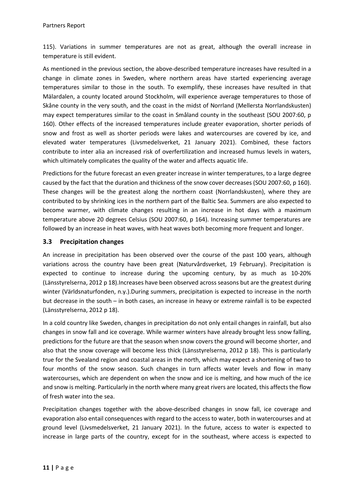115). Variations in summer temperatures are not as great, although the overall increase in temperature is still evident.

As mentioned in the previous section, the above-described temperature increases have resulted in a change in climate zones in Sweden, where northern areas have started experiencing average temperatures similar to those in the south. To exemplify, these increases have resulted in that Mälardalen, a county located around Stockholm, will experience average temperatures to those of Skåne county in the very south, and the coast in the midst of Norrland (Mellersta Norrlandskusten) may expect temperatures similar to the coast in Småland county in the southeast (SOU 2007:60, p 160). Other effects of the increased temperatures include greater evaporation, shorter periods of snow and frost as well as shorter periods were lakes and watercourses are covered by ice, and elevated water temperatures (Livsmedelsverket, 21 January 2021). Combined, these factors contribute to inter alia an increased risk of overfertilization and increased humus levels in waters, which ultimately complicates the quality of the water and affects aquatic life.

Predictions for the future forecast an even greater increase in winter temperatures, to a large degree caused by the fact that the duration and thickness of the snow cover decreases (SOU 2007:60, p 160). These changes will be the greatest along the northern coast (Norrlandskusten), where they are contributed to by shrinking ices in the northern part of the Baltic Sea. Summers are also expected to become warmer, with climate changes resulting in an increase in hot days with a maximum temperature above 20 degrees Celsius (SOU 2007:60, p 164). Increasing summer temperatures are followed by an increase in heat waves, with heat waves both becoming more frequent and longer.

## <span id="page-10-0"></span>**3.3 Precipitation changes**

An increase in precipitation has been observed over the course of the past 100 years, although variations across the country have been great (Naturvårdsverket, 19 February). Precipitation is expected to continue to increase during the upcoming century, by as much as 10-20% (Länsstyrelserna, 2012 p 18).Increases have been observed across seasons but are the greatest during winter (Världsnaturfonden, n.y.).During summers, precipitation is expected to increase in the north but decrease in the south – in both cases, an increase in heavy or extreme rainfall is to be expected (Länsstyrelserna, 2012 p 18).

In a cold country like Sweden, changes in precipitation do not only entail changes in rainfall, but also changes in snow fall and ice coverage. While warmer winters have already brought less snow falling, predictions for the future are that the season when snow covers the ground will become shorter, and also that the snow coverage will become less thick (Länsstyrelserna, 2012 p 18). This is particularly true for the Svealand region and coastal areas in the north, which may expect a shortening of two to four months of the snow season. Such changes in turn affects water levels and flow in many watercourses, which are dependent on when the snow and ice is melting, and how much of the ice and snow is melting. Particularly in the north where many great rivers are located, this affects the flow of fresh water into the sea.

Precipitation changes together with the above-described changes in snow fall, ice coverage and evaporation also entail consequences with regard to the access to water, both in watercourses and at ground level (Livsmedelsverket, 21 January 2021). In the future, access to water is expected to increase in large parts of the country, except for in the southeast, where access is expected to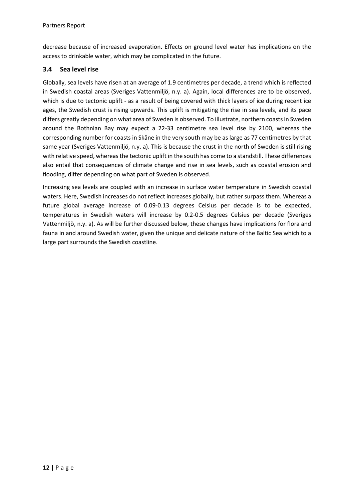decrease because of increased evaporation. Effects on ground level water has implications on the access to drinkable water, which may be complicated in the future.

## <span id="page-11-0"></span>**3.4 Sea level rise**

Globally, sea levels have risen at an average of 1.9 centimetres per decade, a trend which is reflected in Swedish coastal areas (Sveriges Vattenmiljö, n.y. a). Again, local differences are to be observed, which is due to tectonic uplift - as a result of being covered with thick layers of ice during recent ice ages, the Swedish crust is rising upwards. This uplift is mitigating the rise in sea levels, and its pace differs greatly depending on what area of Sweden is observed. To illustrate, northern coasts in Sweden around the Bothnian Bay may expect a 22-33 centimetre sea level rise by 2100, whereas the corresponding number for coasts in Skåne in the very south may be as large as 77 centimetres by that same year (Sveriges Vattenmiljö, n.y. a). This is because the crust in the north of Sweden is still rising with relative speed, whereas the tectonic uplift in the south has come to a standstill. These differences also entail that consequences of climate change and rise in sea levels, such as coastal erosion and flooding, differ depending on what part of Sweden is observed.

Increasing sea levels are coupled with an increase in surface water temperature in Swedish coastal waters. Here, Swedish increases do not reflect increases globally, but rather surpass them. Whereas a future global average increase of 0.09-0.13 degrees Celsius per decade is to be expected, temperatures in Swedish waters will increase by 0.2-0.5 degrees Celsius per decade (Sveriges Vattenmiljö, n.y. a). As will be further discussed below, these changes have implications for flora and fauna in and around Swedish water, given the unique and delicate nature of the Baltic Sea which to a large part surrounds the Swedish coastline.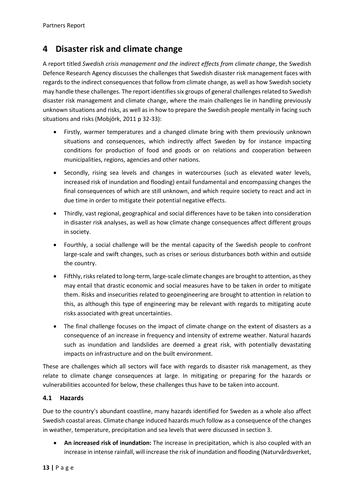# <span id="page-12-0"></span>**4 Disaster risk and climate change**

A report titled *Swedish crisis management and the indirect effects from climate change*, the Swedish Defence Research Agency discusses the challenges that Swedish disaster risk management faces with regards to the indirect consequences that follow from climate change, as well as how Swedish society may handle these challenges. The report identifies six groups of general challenges related to Swedish disaster risk management and climate change, where the main challenges lie in handling previously unknown situations and risks, as well as in how to prepare the Swedish people mentally in facing such situations and risks (Mobjörk, 2011 p 32-33):

- Firstly, warmer temperatures and a changed climate bring with them previously unknown situations and consequences, which indirectly affect Sweden by for instance impacting conditions for production of food and goods or on relations and cooperation between municipalities, regions, agencies and other nations.
- Secondly, rising sea levels and changes in watercourses (such as elevated water levels, increased risk of inundation and flooding) entail fundamental and encompassing changes the final consequences of which are still unknown, and which require society to react and act in due time in order to mitigate their potential negative effects.
- Thirdly, vast regional, geographical and social differences have to be taken into consideration in disaster risk analyses, as well as how climate change consequences affect different groups in society.
- Fourthly, a social challenge will be the mental capacity of the Swedish people to confront large-scale and swift changes, such as crises or serious disturbances both within and outside the country.
- Fifthly, risks related to long-term, large-scale climate changes are brought to attention, as they may entail that drastic economic and social measures have to be taken in order to mitigate them. Risks and insecurities related to geoengineering are brought to attention in relation to this, as although this type of engineering may be relevant with regards to mitigating acute risks associated with great uncertainties.
- The final challenge focuses on the impact of climate change on the extent of disasters as a consequence of an increase in frequency and intensity of extreme weather. Natural hazards such as inundation and landslides are deemed a great risk, with potentially devastating impacts on infrastructure and on the built environment.

These are challenges which all sectors will face with regards to disaster risk management, as they relate to climate change consequences at large. In mitigating or preparing for the hazards or vulnerabilities accounted for below, these challenges thus have to be taken into account.

# <span id="page-12-1"></span>**4.1 Hazards**

Due to the country's abundant coastline, many hazards identified for Sweden as a whole also affect Swedish coastal areas. Climate change induced hazards much follow as a consequence of the changes in weather, temperature, precipitation and sea levels that were discussed in section 3.

• **An increased risk of inundation:** The increase in precipitation, which is also coupled with an increase in intense rainfall, will increase the risk of inundation and flooding (Naturvårdsverket,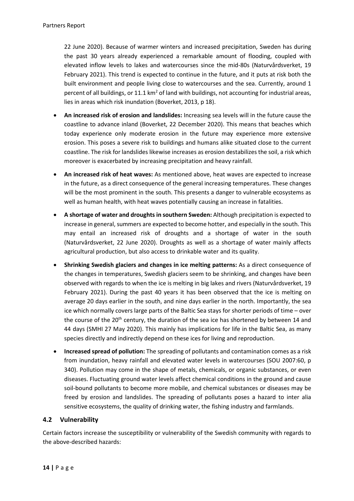22 June 2020). Because of warmer winters and increased precipitation, Sweden has during the past 30 years already experienced a remarkable amount of flooding, coupled with elevated inflow levels to lakes and watercourses since the mid-80s (Naturvårdsverket, 19 February 2021). This trend is expected to continue in the future, and it puts at risk both the built environment and people living close to watercourses and the sea. Currently, around 1 percent of all buildings, or 11.1 km<sup>2</sup> of land with buildings, not accounting for industrial areas, lies in areas which risk inundation (Boverket, 2013, p 18).

- **An increased risk of erosion and landslides:** Increasing sea levels will in the future cause the coastline to advance inland (Boverket, 22 December 2020). This means that beaches which today experience only moderate erosion in the future may experience more extensive erosion. This poses a severe risk to buildings and humans alike situated close to the current coastline. The risk for landslides likewise increases as erosion destabilizes the soil, a risk which moreover is exacerbated by increasing precipitation and heavy rainfall.
- **An increased risk of heat waves:** As mentioned above, heat waves are expected to increase in the future, as a direct consequence of the general increasing temperatures. These changes will be the most prominent in the south. This presents a danger to vulnerable ecosystems as well as human health, with heat waves potentially causing an increase in fatalities.
- **A shortage of water and droughts in southern Sweden:** Although precipitation is expected to increase in general, summers are expected to become hotter, and especially in the south. This may entail an increased risk of droughts and a shortage of water in the south (Naturvårdsverket, 22 June 2020). Droughts as well as a shortage of water mainly affects agricultural production, but also access to drinkable water and its quality.
- **Shrinking Swedish glaciers and changes in ice melting patterns:** As a direct consequence of the changes in temperatures, Swedish glaciers seem to be shrinking, and changes have been observed with regards to when the ice is melting in big lakes and rivers (Naturvårdsverket, 19 February 2021). During the past 40 years it has been observed that the ice is melting on average 20 days earlier in the south, and nine days earlier in the north. Importantly, the sea ice which normally covers large parts of the Baltic Sea stays for shorter periods of time – over the course of the  $20<sup>th</sup>$  century, the duration of the sea ice has shortened by between 14 and 44 days (SMHI 27 May 2020). This mainly has implications for life in the Baltic Sea, as many species directly and indirectly depend on these ices for living and reproduction.
- **Increased spread of pollution:** The spreading of pollutants and contamination comes as a risk from inundation, heavy rainfall and elevated water levels in watercourses (SOU 2007:60, p 340). Pollution may come in the shape of metals, chemicals, or organic substances, or even diseases. Fluctuating ground water levels affect chemical conditions in the ground and cause soil-bound pollutants to become more mobile, and chemical substances or diseases may be freed by erosion and landslides. The spreading of pollutants poses a hazard to inter alia sensitive ecosystems, the quality of drinking water, the fishing industry and farmlands.

# <span id="page-13-0"></span>**4.2 Vulnerability**

Certain factors increase the susceptibility or vulnerability of the Swedish community with regards to the above-described hazards: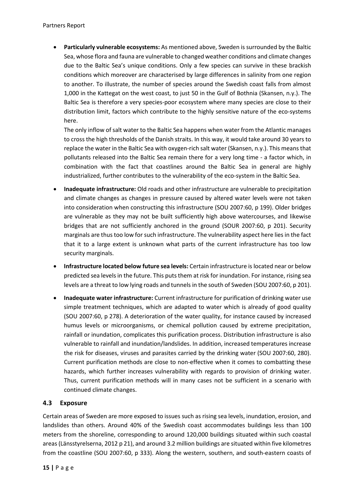• **Particularly vulnerable ecosystems:** As mentioned above, Sweden is surrounded by the Baltic Sea, whose flora and fauna are vulnerable to changed weather conditions and climate changes due to the Baltic Sea's unique conditions. Only a few species can survive in these brackish conditions which moreover are characterised by large differences in salinity from one region to another. To illustrate, the number of species around the Swedish coast falls from almost 1,000 in the Kattegat on the west coast, to just 50 in the Gulf of Bothnia (Skansen, n.y.). The Baltic Sea is therefore a very species-poor ecosystem where many species are close to their distribution limit, factors which contribute to the highly sensitive nature of the eco-systems here.

The only inflow of salt water to the Baltic Sea happens when water from the Atlantic manages to cross the high thresholds of the Danish straits. In this way, it would take around 30 years to replace the water in the Baltic Sea with oxygen-rich salt water (Skansen, n.y.). This means that pollutants released into the Baltic Sea remain there for a very long time - a factor which, in combination with the fact that coastlines around the Baltic Sea in general are highly industrialized, further contributes to the vulnerability of the eco-system in the Baltic Sea.

- **Inadequate infrastructure:** Old roads and other infrastructure are vulnerable to precipitation and climate changes as changes in pressure caused by altered water levels were not taken into consideration when constructing this infrastructure (SOU 2007:60, p 199). Older bridges are vulnerable as they may not be built sufficiently high above watercourses, and likewise bridges that are not sufficiently anchored in the ground (SOUR 2007:60, p 201). Security marginals are thus too low for such infrastructure. The vulnerability aspect here lies in the fact that it to a large extent is unknown what parts of the current infrastructure has too low security marginals.
- **Infrastructure located below future sea levels:** Certain infrastructure is located near or below predicted sea levels in the future. This puts them at risk for inundation. For instance, rising sea levels are a threat to low lying roads and tunnels in the south of Sweden (SOU 2007:60, p 201).
- **Inadequate water infrastructure:** Current infrastructure for purification of drinking water use simple treatment techniques, which are adapted to water which is already of good quality (SOU 2007:60, p 278). A deterioration of the water quality, for instance caused by increased humus levels or microorganisms, or chemical pollution caused by extreme precipitation, rainfall or inundation, complicates this purification process. Distribution infrastructure is also vulnerable to rainfall and inundation/landslides. In addition, increased temperatures increase the risk for diseases, viruses and parasites carried by the drinking water (SOU 2007:60, 280). Current purification methods are close to non-effective when it comes to combatting these hazards, which further increases vulnerability with regards to provision of drinking water. Thus, current purification methods will in many cases not be sufficient in a scenario with continued climate changes.

# <span id="page-14-0"></span>**4.3 Exposure**

Certain areas of Sweden are more exposed to issues such as rising sea levels, inundation, erosion, and landslides than others. Around 40% of the Swedish coast accommodates buildings less than 100 meters from the shoreline, corresponding to around 120,000 buildings situated within such coastal areas (Länsstyrelserna, 2012 p 21), and around 3.2 million buildings are situated within five kilometres from the coastline (SOU 2007:60, p 333). Along the western, southern, and south-eastern coasts of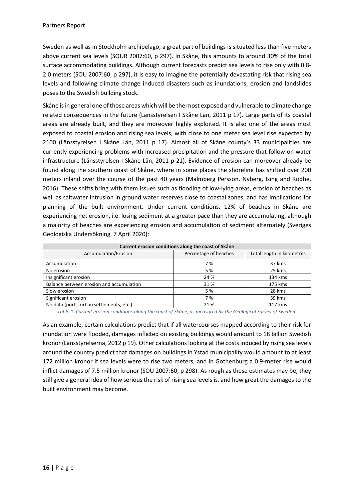Sweden as well as in Stockholm archipelago, a great part of buildings is situated less than five meters above current sea levels (SOUR 2007:60, p 297). In Skåne, this amounts to around 30% of the total surface accommodating buildings. Although current forecasts predict sea levels to rise only with 0.8- 2.0 meters (SOU 2007:60, p 297), it is easy to imagine the potentially devastating risk that rising sea levels and following climate change induced disasters such as inundations, erosion and landslides poses to the Swedish building stock.

Skåne is in general one of those areas which will be the most exposed and vulnerable to climate change related consequences in the future (Länsstyrelsen I Skåne Län, 2011 p 17). Large parts of its coastal areas are already built, and they are moreover highly exploited. It is also one of the areas most exposed to coastal erosion and rising sea levels, with close to one meter sea level rise expected by 2100 (Länsstyrelsen I Skåne Län, 2011 p 17). Almost all of Skåne county's 33 municipalities are currently experiencing problems with increased precipitation and the pressure that follow on water infrastructure (Länsstyrelsen I Skåne Län, 2011 p 21). Evidence of erosion can moreover already be found along the southern coast of Skåne, where in some places the shoreline has shifted over 200 meters inland over the course of the past 40 years (Malmberg Persson, Nyberg, Ising and Rodhe, 2016). These shifts bring with them issues such as flooding of low-lying areas, erosion of beaches as well as saltwater intrusion in ground water reserves close to coastal zones, and has implications for planning of the built environment. Under current conditions, 12% of beaches in Skåne are experiencing net erosion, i.e. losing sediment at a greater pace than they are accumulating, although a majority of beaches are experiencing erosion and accumulation of sediment alternately (Sveriges Geologiska Undersökning, 7 April 2020):

| Current erosion conditions along the coast of Skåne |                       |                            |  |  |  |
|-----------------------------------------------------|-----------------------|----------------------------|--|--|--|
| Accumulation/Erosion                                | Percentage of beaches | Total length in kilometres |  |  |  |
| Accumulation                                        | 7 %                   | 37 kms                     |  |  |  |
| No erosion                                          | 5 %                   | 25 kms                     |  |  |  |
| Insignificant erosion                               | 24 %                  | 134 kms                    |  |  |  |
| Balance between erosion and accumulation            | 31 %                  | 175 kms                    |  |  |  |
| Slow erosion                                        | 5 %                   | 28 kms                     |  |  |  |
| Significant erosion                                 | 7 %                   | 39 kms                     |  |  |  |
| No data (ports, urban settlements, etc.)            | 21 %                  | 117 kms                    |  |  |  |

*Table 1. Current erosion conditions along the coast of Skåne, as measured by the Geological Survey of Sweden.*

As an example, certain calculations predict that if all watercourses mapped according to their risk for inundation were flooded, damages inflicted on existing buildings would amount to 18 billion Swedish kronor (Länsstyrelserna, 2012 p 19). Other calculations looking at the costs induced by rising sea levels around the country predict that damages on buildings in Ystad municipality would amount to at least 172 million kronor if sea levels were to rise two meters, and in Gothenburg a 0.9-meter rise would inflict damages of 7.5 million kronor (SOU 2007:60, p 298). As rough as these estimates may be, they still give a general idea of how serious the risk of rising sea levels is, and how great the damages to the built environment may become.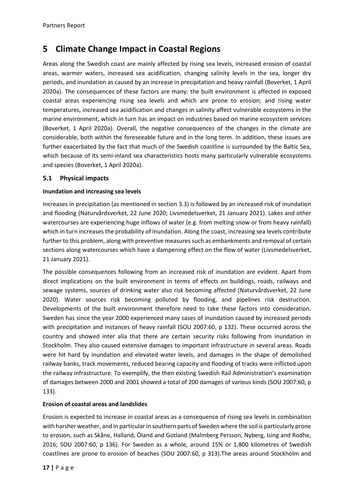# <span id="page-16-0"></span>**5 Climate Change Impact in Coastal Regions**

Areas along the Swedish coast are mainly affected by rising sea levels, increased erosion of coastal areas, warmer waters, increased sea acidification, changing salinity levels in the sea, longer dry periods, and inundation as caused by an increase in precipitation and heavy rainfall (Boverket, 1 April 2020a). The consequences of these factors are many: the built environment is affected in exposed coastal areas experiencing rising sea levels and which are prone to erosion; and rising water temperatures, increased sea acidification and changes in salinity affect vulnerable ecosystems in the marine environment, which in turn has an impact on industries based on marine ecosystem services (Boverket, 1 April 2020a). Overall, the negative consequences of the changes in the climate are considerable, both within the foreseeable future and in the long term. In addition, these issues are further exacerbated by the fact that much of the Swedish coastline is surrounded by the Baltic Sea, which because of its semi-inland sea characteristics hosts many particularly vulnerable ecosystems and species (Boverket, 1 April 2020a).

## <span id="page-16-1"></span>**5.1 Physical impacts**

#### **Inundation and increasing sea levels**

Increases in precipitation (as mentioned in section 3.3) is followed by an increased risk of inundation and flooding (Naturvårdsverket, 22 June 2020; Livsmedelsverket, 21 January 2021). Lakes and other watercourses are experiencing huge inflows of water (e.g. from melting snow or from heavy rainfall) which in turn increases the probability of inundation. Along the coast, increasing sea levels contribute further to this problem, along with preventive measures such as embankments and removal of certain sections along watercourses which have a dampening effect on the flow of water (Livsmedelsverket, 21 January 2021).

The possible consequences following from an increased risk of inundation are evident. Apart from direct implications on the built environment in terms of effects on buildings, roads, railways and sewage systems, sources of drinking water also risk becoming affected (Naturvårdsverket, 22 June 2020). Water sources risk becoming polluted by flooding, and pipelines risk destruction. Developments of the built environment therefore need to take these factors into consideration. Sweden has since the year 2000 experienced many cases of inundation caused by increased periods with precipitation and instances of heavy rainfall (SOU 2007:60, p 132). These occurred across the country and showed inter alia that there are certain security risks following from inundation in Stockholm. They also caused extensive damages to important infrastructure in several areas. Roads were hit hard by inundation and elevated water levels, and damages in the shape of demolished railway banks, track movements, reduced bearing capacity and flooding of tracks were inflicted upon the railway infrastructure. To exemplify, the then existing Swedish Rail Administration's examination of damages between 2000 and 2001 showed a total of 200 damages of various kinds (SOU 2007:60, p 133).

## **Erosion of coastal areas and landslides**

Erosion is expected to increase in coastal areas as a consequence of rising sea levels in combination with harsher weather, and in particular in southern parts of Sweden where the soil is particularly prone to erosion, such as Skåne, Halland, Öland and Gotland (Malmberg Persson, Nyberg, Ising and Rodhe, 2016; SOU 2007:60, p 136). For Sweden as a whole, around 15% or 1,800 kilometres of Swedish coastlines are prone to erosion of beaches (SOU 2007:60, p 313).The areas around Stockholm and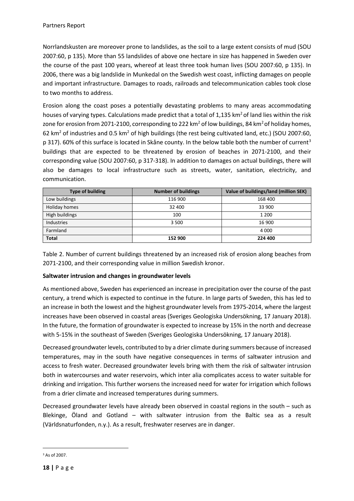Norrlandskusten are moreover prone to landslides, as the soil to a large extent consists of mud (SOU 2007:60, p 135). More than 55 landslides of above one hectare in size has happened in Sweden over the course of the past 100 years, whereof at least three took human lives (SOU 2007:60, p 135). In 2006, there was a big landslide in Munkedal on the Swedish west coast, inflicting damages on people and important infrastructure. Damages to roads, railroads and telecommunication cables took close to two months to address.

Erosion along the coast poses a potentially devastating problems to many areas accommodating houses of varying types. Calculations made predict that a total of 1,135 km<sup>2</sup> of land lies within the risk zone for erosion from 2071-2100, corresponding to 222 km<sup>2</sup> of low buildings, 84 km<sup>2</sup> of holiday homes, 62 km2 of industries and 0.5 km2 of high buildings (the rest being cultivated land, etc.) (SOU 2007:60, p [3](#page-17-0)17). 60% of this surface is located in Skåne county. In the below table both the number of current<sup>3</sup> buildings that are expected to be threatened by erosion of beaches in 2071-2100, and their corresponding value (SOU 2007:60, p 317-318). In addition to damages on actual buildings, there will also be damages to local infrastructure such as streets, water, sanitation, electricity, and communication.

| Type of building | <b>Number of buildings</b> | Value of buildings/land (million SEK) |
|------------------|----------------------------|---------------------------------------|
| Low buildings    | 116 900                    | 168 400                               |
| Holiday homes    | 32 400                     | 33 900                                |
| High buildings   | 100                        | 1 200                                 |
| Industries       | 3 500                      | 16 900                                |
| Farmland         |                            | 4 0 0 0                               |
| <b>Total</b>     | 152 900                    | 224 400                               |

Table 2. Number of current buildings threatened by an increased risk of erosion along beaches from 2071-2100, and their corresponding value in million Swedish kronor.

## **Saltwater intrusion and changes in groundwater levels**

As mentioned above, Sweden has experienced an increase in precipitation over the course of the past century, a trend which is expected to continue in the future. In large parts of Sweden, this has led to an increase in both the lowest and the highest groundwater levels from 1975-2014, where the largest increases have been observed in coastal areas (Sveriges Geologiska Undersökning, 17 January 2018). In the future, the formation of groundwater is expected to increase by 15% in the north and decrease with 5-15% in the southeast of Sweden (Sveriges Geologiska Undersökning, 17 January 2018).

Decreased groundwater levels, contributed to by a drier climate during summers because of increased temperatures, may in the south have negative consequences in terms of saltwater intrusion and access to fresh water. Decreased groundwater levels bring with them the risk of saltwater intrusion both in watercourses and water reservoirs, which inter alia complicates access to water suitable for drinking and irrigation. This further worsens the increased need for water for irrigation which follows from a drier climate and increased temperatures during summers.

Decreased groundwater levels have already been observed in coastal regions in the south – such as Blekinge, Öland and Gotland – with saltwater intrusion from the Baltic sea as a result (Världsnaturfonden, n.y.). As a result, freshwater reserves are in danger.

<span id="page-17-0"></span><sup>&</sup>lt;sup>3</sup> As of 2007.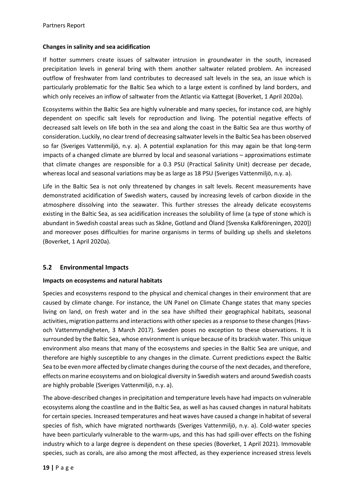#### **Changes in salinity and sea acidification**

If hotter summers create issues of saltwater intrusion in groundwater in the south, increased precipitation levels in general bring with them another saltwater related problem. An increased outflow of freshwater from land contributes to decreased salt levels in the sea, an issue which is particularly problematic for the Baltic Sea which to a large extent is confined by land borders, and which only receives an inflow of saltwater from the Atlantic via Kattegat (Boverket, 1 April 2020a).

Ecosystems within the Baltic Sea are highly vulnerable and many species, for instance cod, are highly dependent on specific salt levels for reproduction and living. The potential negative effects of decreased salt levels on life both in the sea and along the coast in the Baltic Sea are thus worthy of consideration. Luckily, no clear trend of decreasing saltwater levels in the Baltic Sea has been observed so far (Sveriges Vattenmiljö, n.y. a). A potential explanation for this may again be that long-term impacts of a changed climate are blurred by local and seasonal variations – approximations estimate that climate changes are responsible for a 0.3 PSU (Practical Salinity Unit) decrease per decade, whereas local and seasonal variations may be as large as 18 PSU (Sveriges Vattenmiljö, n.y. a).

Life in the Baltic Sea is not only threatened by changes in salt levels. Recent measurements have demonstrated acidification of Swedish waters, caused by increasing levels of carbon dioxide in the atmosphere dissolving into the seawater. This further stresses the already delicate ecosystems existing in the Baltic Sea, as sea acidification increases the solubility of lime (a type of stone which is abundant in Swedish coastal areas such as Skåne, Gotland and Öland [Svenska Kalkföreningen, 2020]) and moreover poses difficulties for marine organisms in terms of building up shells and skeletons (Boverket, 1 April 2020a).

## <span id="page-18-0"></span>**5.2 Environmental Impacts**

#### **Impacts on ecosystems and natural habitats**

Species and ecosystems respond to the physical and chemical changes in their environment that are caused by climate change. For instance, the UN Panel on Climate Change states that many species living on land, on fresh water and in the sea have shifted their geographical habitats, seasonal activities, migration patterns and interactions with other species as a response to these changes(Havsoch Vattenmyndigheten, 3 March 2017). Sweden poses no exception to these observations. It is surrounded by the Baltic Sea, whose environment is unique because of its brackish water. This unique environment also means that many of the ecosystems and species in the Baltic Sea are unique, and therefore are highly susceptible to any changes in the climate. Current predictions expect the Baltic Sea to be even more affected by climate changes during the course of the next decades, and therefore, effects on marine ecosystems and on biological diversity in Swedish waters and around Swedish coasts are highly probable (Sveriges Vattenmiljö, n.y. a).

The above-described changes in precipitation and temperature levels have had impacts on vulnerable ecosystems along the coastline and in the Baltic Sea, as well as has caused changes in natural habitats for certain species. Increased temperatures and heat waves have caused a change in habitat of several species of fish, which have migrated northwards (Sveriges Vattenmiljö, n.y. a). Cold-water species have been particularly vulnerable to the warm-ups, and this has had spill-over effects on the fishing industry which to a large degree is dependent on these species (Boverket, 1 April 2021). Immovable species, such as corals, are also among the most affected, as they experience increased stress levels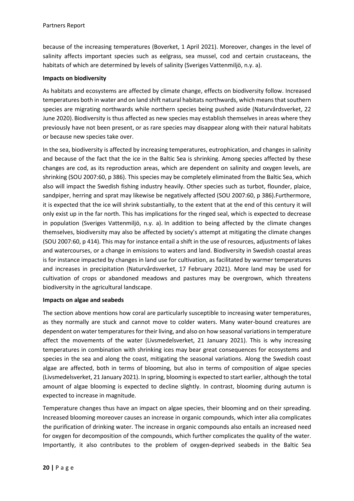because of the increasing temperatures (Boverket, 1 April 2021). Moreover, changes in the level of salinity affects important species such as eelgrass, sea mussel, cod and certain crustaceans, the habitats of which are determined by levels of salinity (Sveriges Vattenmiljö, n.y. a).

#### **Impacts on biodiversity**

As habitats and ecosystems are affected by climate change, effects on biodiversity follow. Increased temperatures both in water and on land shift natural habitats northwards, which means that southern species are migrating northwards while northern species being pushed aside (Naturvårdsverket, 22 June 2020). Biodiversity is thus affected as new species may establish themselves in areas where they previously have not been present, or as rare species may disappear along with their natural habitats or because new species take over.

In the sea, biodiversity is affected by increasing temperatures, eutrophication, and changes in salinity and because of the fact that the ice in the Baltic Sea is shrinking. Among species affected by these changes are cod, as its reproduction areas, which are dependent on salinity and oxygen levels, are shrinking (SOU 2007:60, p 386). This species may be completely eliminated from the Baltic Sea, which also will impact the Swedish fishing industry heavily. Other species such as turbot, flounder, plaice, sandpiper, herring and sprat may likewise be negatively affected (SOU 2007:60, p 386).Furthermore, it is expected that the ice will shrink substantially, to the extent that at the end of this century it will only exist up in the far north. This has implications for the ringed seal, which is expected to decrease in population (Sveriges Vattenmiljö, n.y. a). In addition to being affected by the climate changes themselves, biodiversity may also be affected by society's attempt at mitigating the climate changes (SOU 2007:60, p 414). This may for instance entail a shift in the use of resources, adjustments of lakes and watercourses, or a change in emissions to waters and land. Biodiversity in Swedish coastal areas is for instance impacted by changes in land use for cultivation, as facilitated by warmer temperatures and increases in precipitation (Naturvårdsverket, 17 February 2021). More land may be used for cultivation of crops or abandoned meadows and pastures may be overgrown, which threatens biodiversity in the agricultural landscape.

#### **Impacts on algae and seabeds**

The section above mentions how coral are particularly susceptible to increasing water temperatures, as they normally are stuck and cannot move to colder waters. Many water-bound creatures are dependent on water temperatures for their living, and also on how seasonal variations in temperature affect the movements of the water (Livsmedelsverket, 21 January 2021). This is why increasing temperatures in combination with shrinking ices may bear great consequences for ecosystems and species in the sea and along the coast, mitigating the seasonal variations. Along the Swedish coast algae are affected, both in terms of blooming, but also in terms of composition of algae species (Livsmedelsverket, 21 January 2021). In spring, blooming is expected to start earlier, although the total amount of algae blooming is expected to decline slightly. In contrast, blooming during autumn is expected to increase in magnitude.

Temperature changes thus have an impact on algae species, their blooming and on their spreading. Increased blooming moreover causes an increase in organic compounds, which inter alia complicates the purification of drinking water. The increase in organic compounds also entails an increased need for oxygen for decomposition of the compounds, which further complicates the quality of the water. Importantly, it also contributes to the problem of oxygen-deprived seabeds in the Baltic Sea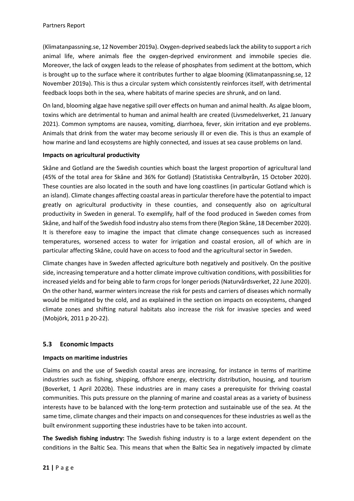(Klimatanpassning.se, 12 November 2019a). Oxygen-deprived seabeds lack the ability to support a rich animal life, where animals flee the oxygen-deprived environment and immobile species die. Moreover, the lack of oxygen leads to the release of phosphates from sediment at the bottom, which is brought up to the surface where it contributes further to algae blooming (Klimatanpassning.se, 12 November 2019a). This is thus a circular system which consistently reinforces itself, with detrimental feedback loops both in the sea, where habitats of marine species are shrunk, and on land.

On land, blooming algae have negative spill over effects on human and animal health. As algae bloom, toxins which are detrimental to human and animal health are created (Livsmedelsverket, 21 January 2021). Common symptoms are nausea, vomiting, diarrhoea, fever, skin irritation and eye problems. Animals that drink from the water may become seriously ill or even die. This is thus an example of how marine and land ecosystems are highly connected, and issues at sea cause problems on land.

## **Impacts on agricultural productivity**

Skåne and Gotland are the Swedish counties which boast the largest proportion of agricultural land (45% of the total area for Skåne and 36% for Gotland) (Statistiska Centralbyrån, 15 October 2020). These counties are also located in the south and have long coastlines (in particular Gotland which is an island). Climate changes affecting coastal areas in particular therefore have the potential to impact greatly on agricultural productivity in these counties, and consequently also on agricultural productivity in Sweden in general. To exemplify, half of the food produced in Sweden comes from Skåne, and half of the Swedish food industry also stems from there (Region Skåne, 18 December 2020). It is therefore easy to imagine the impact that climate change consequences such as increased temperatures, worsened access to water for irrigation and coastal erosion, all of which are in particular affecting Skåne, could have on access to food and the agricultural sector in Sweden.

Climate changes have in Sweden affected agriculture both negatively and positively. On the positive side, increasing temperature and a hotter climate improve cultivation conditions, with possibilities for increased yields and for being able to farm crops for longer periods (Naturvårdsverket, 22 June 2020). On the other hand, warmer winters increase the risk for pests and carriers of diseases which normally would be mitigated by the cold, and as explained in the section on impacts on ecosystems, changed climate zones and shifting natural habitats also increase the risk for invasive species and weed (Mobjörk, 2011 p 20-22).

## <span id="page-20-0"></span>**5.3 Economic Impacts**

#### **Impacts on maritime industries**

Claims on and the use of Swedish coastal areas are increasing, for instance in terms of maritime industries such as fishing, shipping, offshore energy, electricity distribution, housing, and tourism (Boverket, 1 April 2020b). These industries are in many cases a prerequisite for thriving coastal communities. This puts pressure on the planning of marine and coastal areas as a variety of business interests have to be balanced with the long-term protection and sustainable use of the sea. At the same time, climate changes and their impacts on and consequences for these industries as well as the built environment supporting these industries have to be taken into account.

**The Swedish fishing industry:** The Swedish fishing industry is to a large extent dependent on the conditions in the Baltic Sea. This means that when the Baltic Sea in negatively impacted by climate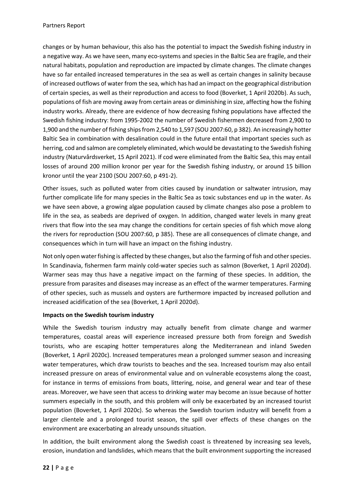changes or by human behaviour, this also has the potential to impact the Swedish fishing industry in a negative way. As we have seen, many eco-systems and species in the Baltic Sea are fragile, and their natural habitats, population and reproduction are impacted by climate changes. The climate changes have so far entailed increased temperatures in the sea as well as certain changes in salinity because of increased outflows of water from the sea, which has had an impact on the geographical distribution of certain species, as well as their reproduction and access to food (Boverket, 1 April 2020b). As such, populations of fish are moving away from certain areas or diminishing in size, affecting how the fishing industry works. Already, there are evidence of how decreasing fishing populations have affected the Swedish fishing industry: from 1995-2002 the number of Swedish fishermen decreased from 2,900 to 1,900 and the number of fishing ships from 2,540 to 1,597 (SOU 2007:60, p 382). An increasingly hotter Baltic Sea in combination with desalination could in the future entail that important species such as herring, cod and salmon are completely eliminated, which would be devastating to the Swedish fishing industry (Naturvårdsverket, 15 April 2021). If cod were eliminated from the Baltic Sea, this may entail losses of around 200 million kronor per year for the Swedish fishing industry, or around 15 billion kronor until the year 2100 (SOU 2007:60, p 491-2).

Other issues, such as polluted water from cities caused by inundation or saltwater intrusion, may further complicate life for many species in the Baltic Sea as toxic substances end up in the water. As we have seen above, a growing algae population caused by climate changes also pose a problem to life in the sea, as seabeds are deprived of oxygen. In addition, changed water levels in many great rivers that flow into the sea may change the conditions for certain species of fish which move along the rivers for reproduction (SOU 2007:60, p 385). These are all consequences of climate change, and consequences which in turn will have an impact on the fishing industry.

Not only open water fishing is affected by these changes, but also the farming of fish and other species. In Scandinavia, fishermen farm mainly cold-water species such as salmon (Boverket, 1 April 2020d). Warmer seas may thus have a negative impact on the farming of these species. In addition, the pressure from parasites and diseases may increase as an effect of the warmer temperatures. Farming of other species, such as mussels and oysters are furthermore impacted by increased pollution and increased acidification of the sea (Boverket, 1 April 2020d).

## **Impacts on the Swedish tourism industry**

While the Swedish tourism industry may actually benefit from climate change and warmer temperatures, coastal areas will experience increased pressure both from foreign and Swedish tourists, who are escaping hotter temperatures along the Mediterranean and inland Sweden (Boverket, 1 April 2020c). Increased temperatures mean a prolonged summer season and increasing water temperatures, which draw tourists to beaches and the sea. Increased tourism may also entail increased pressure on areas of environmental value and on vulnerable ecosystems along the coast, for instance in terms of emissions from boats, littering, noise, and general wear and tear of these areas. Moreover, we have seen that access to drinking water may become an issue because of hotter summers especially in the south, and this problem will only be exacerbated by an increased tourist population (Boverket, 1 April 2020c). So whereas the Swedish tourism industry will benefit from a larger clientele and a prolonged tourist season, the spill over effects of these changes on the environment are exacerbating an already unsounds situation.

In addition, the built environment along the Swedish coast is threatened by increasing sea levels, erosion, inundation and landslides, which means that the built environment supporting the increased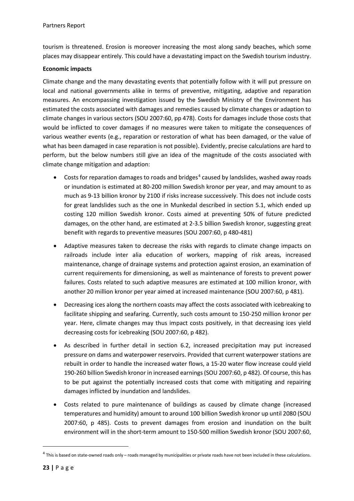tourism is threatened. Erosion is moreover increasing the most along sandy beaches, which some places may disappear entirely. This could have a devastating impact on the Swedish tourism industry.

## **Economic impacts**

Climate change and the many devastating events that potentially follow with it will put pressure on local and national governments alike in terms of preventive, mitigating, adaptive and reparation measures. An encompassing investigation issued by the Swedish Ministry of the Environment has estimated the costs associated with damages and remedies caused by climate changes or adaption to climate changes in various sectors (SOU 2007:60, pp 478). Costs for damages include those costs that would be inflicted to cover damages if no measures were taken to mitigate the consequences of various weather events (e.g., reparation or restoration of what has been damaged, or the value of what has been damaged in case reparation is not possible). Evidently, precise calculations are hard to perform, but the below numbers still give an idea of the magnitude of the costs associated with climate change mitigation and adaption:

- Costs for reparation damages to roads and bridges<sup>[4](#page-22-0)</sup> caused by landslides, washed away roads or inundation is estimated at 80-200 million Swedish kronor per year, and may amount to as much as 9-13 billion kronor by 2100 if risks increase successively. This does not include costs for great landslides such as the one in Munkedal described in section 5.1, which ended up costing 120 million Swedish kronor. Costs aimed at preventing 50% of future predicted damages, on the other hand, are estimated at 2-3.5 billion Swedish kronor, suggesting great benefit with regards to preventive measures (SOU 2007:60, p 480-481)
- Adaptive measures taken to decrease the risks with regards to climate change impacts on railroads include inter alia education of workers, mapping of risk areas, increased maintenance, change of drainage systems and protection against erosion, an examination of current requirements for dimensioning, as well as maintenance of forests to prevent power failures. Costs related to such adaptive measures are estimated at 100 million kronor, with another 20 million kronor per year aimed at increased maintenance (SOU 2007:60, p 481).
- Decreasing ices along the northern coasts may affect the costs associated with icebreaking to facilitate shipping and seafaring. Currently, such costs amount to 150-250 million kronor per year. Here, climate changes may thus impact costs positively, in that decreasing ices yield decreasing costs for icebreaking (SOU 2007:60, p 482).
- As described in further detail in section 6.2, increased precipitation may put increased pressure on dams and waterpower reservoirs. Provided that current waterpower stations are rebuilt in order to handle the increased water flows, a 15-20 water flow increase could yield 190-260 billion Swedish kronor in increased earnings (SOU 2007:60, p 482). Of course, this has to be put against the potentially increased costs that come with mitigating and repairing damages inflicted by inundation and landslides.
- Costs related to pure maintenance of buildings as caused by climate change (increased temperatures and humidity) amount to around 100 billion Swedish kronor up until 2080 (SOU 2007:60, p 485). Costs to prevent damages from erosion and inundation on the built environment will in the short-term amount to 150-500 million Swedish kronor (SOU 2007:60,

<span id="page-22-0"></span><sup>&</sup>lt;sup>4</sup> This is based on state-owned roads only – roads managed by municipalities or private roads have not been included in these calculations.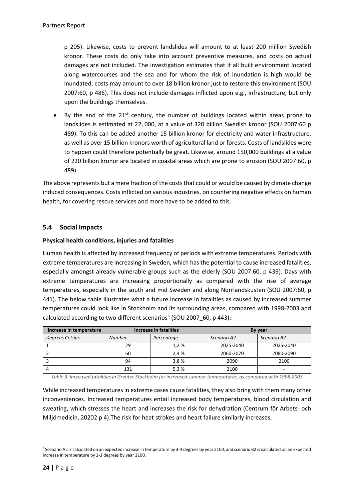p 205). Likewise, costs to prevent landslides will amount to at least 200 million Swedish kronor. These costs do only take into account preventive measures, and costs on actual damages are not included. The investigation estimates that if all built environment located along watercourses and the sea and for whom the risk of inundation is high would be inundated, costs may amount to over 18 billion kronor just to restore this environment (SOU 2007:60, p 486). This does not include damages inflicted upon e.g., infrastructure, but only upon the buildings themselves.

By the end of the  $21<sup>st</sup>$  century, the number of buildings located within areas prone to landslides is estimated at 22, 000, at a value of 320 billion Swedish kronor (SOU 2007:60 p 489). To this can be added another 15 billion kronor for electricity and water infrastructure, as well as over 15 billion kronors worth of agricultural land or forests. Costs of landslides were to happen could therefore potentially be great. Likewise, around 150,000 buildings at a value of 220 billion kronor are located in coastal areas which are prone to erosion (SOU 2007:60, p 489).

The above represents but a mere fraction of the costs that could or would be caused by climate change induced consequences. Costs inflicted on various industries, on countering negative effects on human health, for covering rescue services and more have to be added to this.

## <span id="page-23-0"></span>**5.4 Social Impacts**

## **Physical health conditions, injuries and fatalities**

Human health is affected by increased frequency of periods with extreme temperatures. Periods with extreme temperatures are increasing in Sweden, which has the potential to cause increased fatalities, especially amongst already vulnerable groups such as the elderly (SOU 2007:60, p 439). Days with extreme temperatures are increasing proportionally as compared with the rise of average temperatures, especially in the south and mid Sweden and along Norrlandskusten (SOU 2007:60, p 441). The below table illustrates what a future increase in fatalities as caused by increased summer temperatures could look like in Stockholm and its surrounding areas, compared with 1998-2003 and calculated according to two different scenarios<sup>[5](#page-23-1)</sup> (SOU 2007 60, p 443):

| Increase in temperature | <b>Increase in fatalities</b> |            | <b>By year</b> |             |
|-------------------------|-------------------------------|------------|----------------|-------------|
| Degrees Celsius         | <b>Number</b>                 | Percentage | Scenario A2    | Scenario B2 |
|                         | 29                            | 1.2%       | 2025-2040      | 2025-2040   |
|                         | 60                            | 2.4 %      | 2060-2070      | 2080-2090   |
|                         | 94                            | 3.8%       | 2090           | 2100        |
| 4                       | 131                           | 5.3%       | 2100           | -           |

*Table 3. Increased fatalities in Greater Stockholm for increased summer temperatures, as compared with 1998-2003*

While increased temperatures in extreme cases cause fatalities, they also bring with them many other inconveniences. Increased temperatures entail increased body temperatures, blood circulation and sweating, which stresses the heart and increases the risk for dehydration (Centrum för Arbets- och Miljömedicin, 20202 p 4).The risk for heat strokes and heart failure similarly increases.

<span id="page-23-1"></span><sup>5</sup> Scenario A2 is calculated on an expected increase in temperature by 3-4 degrees by year 2100, and scenario B2 is calculated on an expected increase in temperature by 2-3 degrees by year 2100.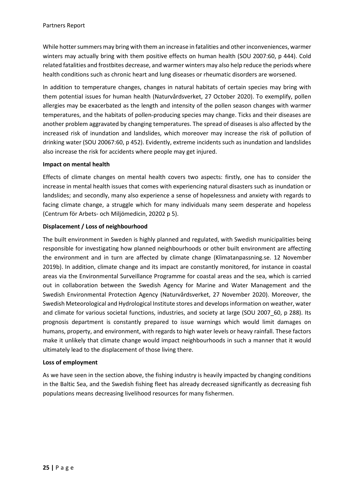While hotter summers may bring with them an increase in fatalities and other inconveniences, warmer winters may actually bring with them positive effects on human health (SOU 2007:60, p 444). Cold related fatalities and frostbites decrease, and warmer winters may also help reduce the periods where health conditions such as chronic heart and lung diseases or rheumatic disorders are worsened.

In addition to temperature changes, changes in natural habitats of certain species may bring with them potential issues for human health (Naturvårdsverket, 27 October 2020). To exemplify, pollen allergies may be exacerbated as the length and intensity of the pollen season changes with warmer temperatures, and the habitats of pollen-producing species may change. Ticks and their diseases are another problem aggravated by changing temperatures. The spread of diseases is also affected by the increased risk of inundation and landslides, which moreover may increase the risk of pollution of drinking water (SOU 20067:60, p 452). Evidently, extreme incidents such as inundation and landslides also increase the risk for accidents where people may get injured.

#### **Impact on mental health**

Effects of climate changes on mental health covers two aspects: firstly, one has to consider the increase in mental health issues that comes with experiencing natural disasters such as inundation or landslides; and secondly, many also experience a sense of hopelessness and anxiety with regards to facing climate change, a struggle which for many individuals many seem desperate and hopeless (Centrum för Arbets- och Miljömedicin, 20202 p 5).

## **Displacement / Loss of neighbourhood**

The built environment in Sweden is highly planned and regulated, with Swedish municipalities being responsible for investigating how planned neighbourhoods or other built environment are affecting the environment and in turn are affected by climate change (Klimatanpassning.se. 12 November 2019b). In addition, climate change and its impact are constantly monitored, for instance in coastal areas via the Environmental Surveillance Programme for coastal areas and the sea, which is carried out in collaboration between the Swedish Agency for Marine and Water Management and the Swedish Environmental Protection Agency (Naturvårdsverket, 27 November 2020). Moreover, the Swedish Meteorological and Hydrological Institute stores and develops information on weather, water and climate for various societal functions, industries, and society at large (SOU 2007 60, p 288). Its prognosis department is constantly prepared to issue warnings which would limit damages on humans, property, and environment, with regards to high water levels or heavy rainfall. These factors make it unlikely that climate change would impact neighbourhoods in such a manner that it would ultimately lead to the displacement of those living there.

#### **Loss of employment**

As we have seen in the section above, the fishing industry is heavily impacted by changing conditions in the Baltic Sea, and the Swedish fishing fleet has already decreased significantly as decreasing fish populations means decreasing livelihood resources for many fishermen.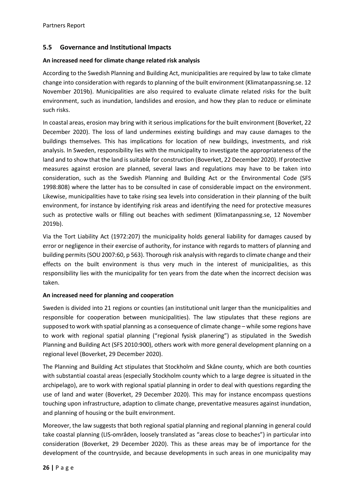## <span id="page-25-0"></span>**5.5 Governance and Institutional Impacts**

#### **An increased need for climate change related risk analysis**

According to the Swedish Planning and Building Act, municipalities are required by law to take climate change into consideration with regards to planning of the built environment (Klimatanpassning.se. 12 November 2019b). Municipalities are also required to evaluate climate related risks for the built environment, such as inundation, landslides and erosion, and how they plan to reduce or eliminate such risks.

In coastal areas, erosion may bring with it serious implications for the built environment (Boverket, 22 December 2020). The loss of land undermines existing buildings and may cause damages to the buildings themselves. This has implications for location of new buildings, investments, and risk analysis. In Sweden, responsibility lies with the municipality to investigate the appropriateness of the land and to show that the land is suitable for construction (Boverket, 22 December 2020). If protective measures against erosion are planned, several laws and regulations may have to be taken into consideration, such as the Swedish Planning and Building Act or the Environmental Code (SFS 1998:808) where the latter has to be consulted in case of considerable impact on the environment. Likewise, municipalities have to take rising sea levels into consideration in their planning of the built environment, for instance by identifying risk areas and identifying the need for protective measures such as protective walls or filling out beaches with sediment (Klimatanpassning.se, 12 November 2019b).

Via the Tort Liability Act (1972:207) the municipality holds general liability for damages caused by error or negligence in their exercise of authority, for instance with regards to matters of planning and building permits (SOU 2007:60, p 563). Thorough risk analysis with regards to climate change and their effects on the built environment is thus very much in the interest of municipalities, as this responsibility lies with the municipality for ten years from the date when the incorrect decision was taken.

#### **An increased need for planning and cooperation**

Sweden is divided into 21 regions or counties (an institutional unit larger than the municipalities and responsible for cooperation between municipalities). The law stipulates that these regions are supposed to work with spatial planning as a consequence of climate change – while some regions have to work with regional spatial planning ("regional fysisk planering") as stipulated in the Swedish Planning and Building Act (SFS 2010:900), others work with more general development planning on a regional level (Boverket, 29 December 2020).

The Planning and Building Act stipulates that Stockholm and Skåne county, which are both counties with substantial coastal areas (especially Stockholm county which to a large degree is situated in the archipelago), are to work with regional spatial planning in order to deal with questions regarding the use of land and water (Boverket, 29 December 2020). This may for instance encompass questions touching upon infrastructure, adaption to climate change, preventative measures against inundation, and planning of housing or the built environment.

Moreover, the law suggests that both regional spatial planning and regional planning in general could take coastal planning (LIS-områden, loosely translated as "areas close to beaches") in particular into consideration (Boverket, 29 December 2020). This as these areas may be of importance for the development of the countryside, and because developments in such areas in one municipality may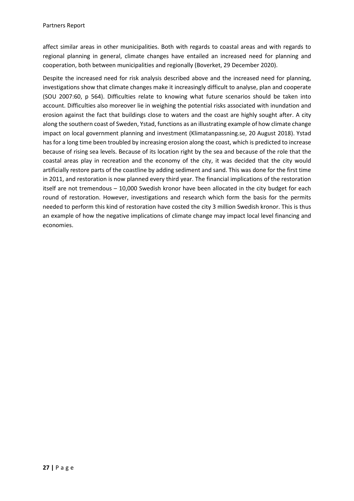affect similar areas in other municipalities. Both with regards to coastal areas and with regards to regional planning in general, climate changes have entailed an increased need for planning and cooperation, both between municipalities and regionally (Boverket, 29 December 2020).

Despite the increased need for risk analysis described above and the increased need for planning, investigations show that climate changes make it increasingly difficult to analyse, plan and cooperate (SOU 2007:60, p 564). Difficulties relate to knowing what future scenarios should be taken into account. Difficulties also moreover lie in weighing the potential risks associated with inundation and erosion against the fact that buildings close to waters and the coast are highly sought after. A city along the southern coast of Sweden, Ystad, functions as an illustrating example of how climate change impact on local government planning and investment (Klimatanpassning.se, 20 August 2018). Ystad has for a long time been troubled by increasing erosion along the coast, which is predicted to increase because of rising sea levels. Because of its location right by the sea and because of the role that the coastal areas play in recreation and the economy of the city, it was decided that the city would artificially restore parts of the coastline by adding sediment and sand. This was done for the first time in 2011, and restoration is now planned every third year. The financial implications of the restoration itself are not tremendous – 10,000 Swedish kronor have been allocated in the city budget for each round of restoration. However, investigations and research which form the basis for the permits needed to perform this kind of restoration have costed the city 3 million Swedish kronor. This is thus an example of how the negative implications of climate change may impact local level financing and economies.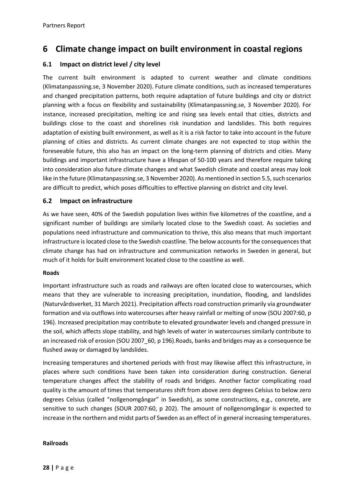# <span id="page-27-0"></span>**6 Climate change impact on built environment in coastal regions**

# <span id="page-27-1"></span>**6.1 Impact on district level / city level**

The current built environment is adapted to current weather and climate conditions (Klimatanpassning.se, 3 November 2020). Future climate conditions, such as increased temperatures and changed precipitation patterns, both require adaptation of future buildings and city or district planning with a focus on flexibility and sustainability (Klimatanpassning.se, 3 November 2020). For instance, increased precipitation, melting ice and rising sea levels entail that cities, districts and buildings close to the coast and shorelines risk inundation and landslides. This both requires adaptation of existing built environment, as well as it is a risk factor to take into account in the future planning of cities and districts. As current climate changes are not expected to stop within the foreseeable future, this also has an impact on the long-term planning of districts and cities. Many buildings and important infrastructure have a lifespan of 50-100 years and therefore require taking into consideration also future climate changes and what Swedish climate and coastal areas may look like in the future (Klimatanpassning.se, 3 November 2020). As mentioned in section 5.5, such scenarios are difficult to predict, which poses difficulties to effective planning on district and city level.

#### <span id="page-27-2"></span>**6.2 Impact on infrastructure**

As we have seen, 40% of the Swedish population lives within five kilometres of the coastline, and a significant number of buildings are similarly located close to the Swedish coast. As societies and populations need infrastructure and communication to thrive, this also means that much important infrastructure is located close to the Swedish coastline. The below accounts for the consequences that climate change has had on infrastructure and communication networks in Sweden in general, but much of it holds for built environment located close to the coastline as well.

#### **Roads**

Important infrastructure such as roads and railways are often located close to watercourses, which means that they are vulnerable to increasing precipitation, inundation, flooding, and landslides (Naturvårdsverket, 31 March 2021). Precipitation affects road construction primarily via groundwater formation and via outflows into watercourses after heavy rainfall or melting of snow (SOU 2007:60, p 196). Increased precipitation may contribute to elevated groundwater levels and changed pressure in the soil, which affects slope stability, and high levels of water in watercourses similarly contribute to an increased risk of erosion (SOU 2007\_60, p 196).Roads, banks and bridges may as a consequence be flushed away or damaged by landslides.

Increasing temperatures and shortened periods with frost may likewise affect this infrastructure, in places where such conditions have been taken into consideration during construction. General temperature changes affect the stability of roads and bridges. Another factor complicating road quality is the amount of times that temperatures shift from above zero degrees Celsius to below zero degrees Celsius (called "nollgenomgångar" in Swedish), as some constructions, e.g., concrete, are sensitive to such changes (SOUR 2007:60, p 202). The amount of nollgenomgångar is expected to increase in the northern and midst parts of Sweden as an effect of in general increasing temperatures.

#### **Railroads**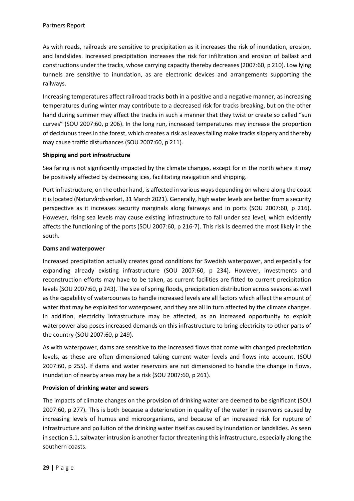As with roads, railroads are sensitive to precipitation as it increases the risk of inundation, erosion, and landslides. Increased precipitation increases the risk for infiltration and erosion of ballast and constructions under the tracks, whose carrying capacity thereby decreases (2007:60, p 210). Low lying tunnels are sensitive to inundation, as are electronic devices and arrangements supporting the railways.

Increasing temperatures affect railroad tracks both in a positive and a negative manner, as increasing temperatures during winter may contribute to a decreased risk for tracks breaking, but on the other hand during summer may affect the tracks in such a manner that they twist or create so called "sun curves" (SOU 2007:60, p 206). In the long run, increased temperatures may increase the proportion of deciduous trees in the forest, which creates a risk as leaves falling make tracks slippery and thereby may cause traffic disturbances (SOU 2007:60, p 211).

## **Shipping and port infrastructure**

Sea faring is not significantly impacted by the climate changes, except for in the north where it may be positively affected by decreasing ices, facilitating navigation and shipping.

Port infrastructure, on the other hand, is affected in various ways depending on where along the coast it is located (Naturvårdsverket, 31 March 2021). Generally, high water levels are better from a security perspective as it increases security marginals along fairways and in ports (SOU 2007:60, p 216). However, rising sea levels may cause existing infrastructure to fall under sea level, which evidently affects the functioning of the ports (SOU 2007:60, p 216-7). This risk is deemed the most likely in the south.

#### **Dams and waterpower**

Increased precipitation actually creates good conditions for Swedish waterpower, and especially for expanding already existing infrastructure (SOU 2007:60, p 234). However, investments and reconstruction efforts may have to be taken, as current facilities are fitted to current precipitation levels (SOU 2007:60, p 243). The size of spring floods, precipitation distribution across seasons as well as the capability of watercourses to handle increased levels are all factors which affect the amount of water that may be exploited for waterpower, and they are all in turn affected by the climate changes. In addition, electricity infrastructure may be affected, as an increased opportunity to exploit waterpower also poses increased demands on this infrastructure to bring electricity to other parts of the country (SOU 2007:60, p 249).

As with waterpower, dams are sensitive to the increased flows that come with changed precipitation levels, as these are often dimensioned taking current water levels and flows into account. (SOU 2007:60, p 255). If dams and water reservoirs are not dimensioned to handle the change in flows, inundation of nearby areas may be a risk (SOU 2007:60, p 261).

## **Provision of drinking water and sewers**

The impacts of climate changes on the provision of drinking water are deemed to be significant (SOU 2007:60, p 277). This is both because a deterioration in quality of the water in reservoirs caused by increasing levels of humus and microorganisms, and because of an increased risk for rupture of infrastructure and pollution of the drinking water itself as caused by inundation or landslides. As seen in section 5.1, saltwater intrusion is another factor threatening this infrastructure, especially along the southern coasts.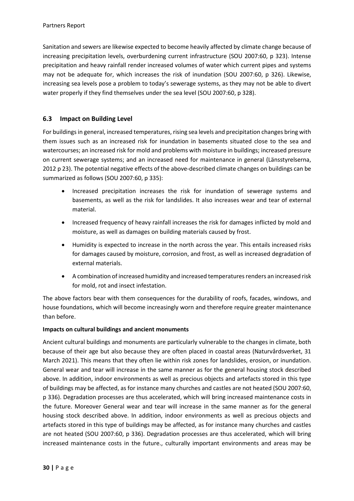Sanitation and sewers are likewise expected to become heavily affected by climate change because of increasing precipitation levels, overburdening current infrastructure (SOU 2007:60, p 323). Intense precipitation and heavy rainfall render increased volumes of water which current pipes and systems may not be adequate for, which increases the risk of inundation (SOU 2007:60, p 326). Likewise, increasing sea levels pose a problem to today's sewerage systems, as they may not be able to divert water properly if they find themselves under the sea level (SOU 2007:60, p 328).

# <span id="page-29-0"></span>**6.3 Impact on Building Level**

For buildings in general, increased temperatures, rising sea levels and precipitation changes bring with them issues such as an increased risk for inundation in basements situated close to the sea and watercourses; an increased risk for mold and problems with moisture in buildings; increased pressure on current sewerage systems; and an increased need for maintenance in general (Länsstyrelserna, 2012 p 23). The potential negative effects of the above-described climate changes on buildings can be summarized as follows (SOU 2007:60, p 335):

- Increased precipitation increases the risk for inundation of sewerage systems and basements, as well as the risk for landslides. It also increases wear and tear of external material.
- Increased frequency of heavy rainfall increases the risk for damages inflicted by mold and moisture, as well as damages on building materials caused by frost.
- Humidity is expected to increase in the north across the year. This entails increased risks for damages caused by moisture, corrosion, and frost, as well as increased degradation of external materials.
- A combination of increased humidity and increased temperatures renders an increased risk for mold, rot and insect infestation.

The above factors bear with them consequences for the durability of roofs, facades, windows, and house foundations, which will become increasingly worn and therefore require greater maintenance than before.

## **Impacts on cultural buildings and ancient monuments**

Ancient cultural buildings and monuments are particularly vulnerable to the changes in climate, both because of their age but also because they are often placed in coastal areas (Naturvårdsverket, 31 March 2021). This means that they often lie within risk zones for landslides, erosion, or inundation. General wear and tear will increase in the same manner as for the general housing stock described above. In addition, indoor environments as well as precious objects and artefacts stored in this type of buildings may be affected, as for instance many churches and castles are not heated (SOU 2007:60, p 336). Degradation processes are thus accelerated, which will bring increased maintenance costs in the future. Moreover General wear and tear will increase in the same manner as for the general housing stock described above. In addition, indoor environments as well as precious objects and artefacts stored in this type of buildings may be affected, as for instance many churches and castles are not heated (SOU 2007:60, p 336). Degradation processes are thus accelerated, which will bring increased maintenance costs in the future., culturally important environments and areas may be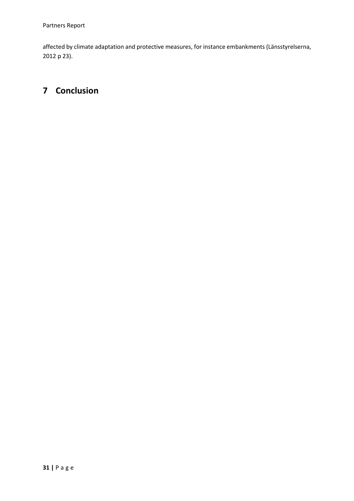affected by climate adaptation and protective measures, for instance embankments (Länsstyrelserna, 2012 p 23).

# <span id="page-30-0"></span>**7 Conclusion**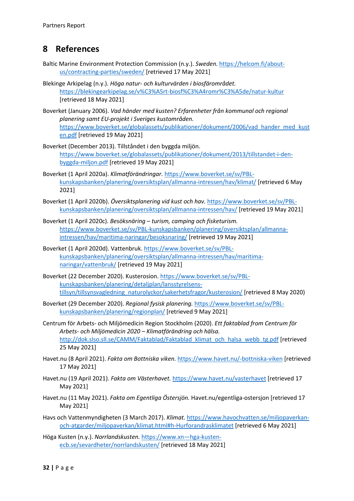# <span id="page-31-0"></span>**8 References**

- Baltic Marine Environment Protection Commission (n.y.). *Sweden.* [https://helcom.fi/about](https://helcom.fi/about-us/contracting-parties/sweden/)[us/contracting-parties/sweden/](https://helcom.fi/about-us/contracting-parties/sweden/) [retrieved 17 May 2021]
- Blekinge Arkipelag (n.y.). *Höga natur- och kulturvärden i biosfärområdet.*  <https://blekingearkipelag.se/v%C3%A5rt-biosf%C3%A4romr%C3%A5de/natur-kultur> [retrieved 18 May 2021]
- Boverket (January 2006). *Vad händer med kusten? Erfarenheter från kommunal och regional planering samt EU-projekt i Sveriges kustområden.*  [https://www.boverket.se/globalassets/publikationer/dokument/2006/vad\\_hander\\_med\\_kust](https://www.boverket.se/globalassets/publikationer/dokument/2006/vad_hander_med_kusten.pdf) [en.pdf](https://www.boverket.se/globalassets/publikationer/dokument/2006/vad_hander_med_kusten.pdf) [retrieved 19 May 2021]
- Boverket (December 2013). Tillståndet i den byggda miljön. [https://www.boverket.se/globalassets/publikationer/dokument/2013/tillstandet-i-den](https://www.boverket.se/globalassets/publikationer/dokument/2013/tillstandet-i-den-byggda-miljon.pdf)[byggda-miljon.pdf](https://www.boverket.se/globalassets/publikationer/dokument/2013/tillstandet-i-den-byggda-miljon.pdf) [retrieved 19 May 2021]
- Boverket (1 April 2020a). *Klimatförändringar.* [https://www.boverket.se/sv/PBL](https://www.boverket.se/sv/PBL-kunskapsbanken/planering/oversiktsplan/allmanna-intressen/hav/klimat/)[kunskapsbanken/planering/oversiktsplan/allmanna-intressen/hav/klimat/](https://www.boverket.se/sv/PBL-kunskapsbanken/planering/oversiktsplan/allmanna-intressen/hav/klimat/) [retrieved 6 May 2021]
- Boverket (1 April 2020b). *Översiktsplanering vid kust och hav.* [https://www.boverket.se/sv/PBL](https://www.boverket.se/sv/PBL-kunskapsbanken/planering/oversiktsplan/allmanna-intressen/hav/)[kunskapsbanken/planering/oversiktsplan/allmanna-intressen/hav/](https://www.boverket.se/sv/PBL-kunskapsbanken/planering/oversiktsplan/allmanna-intressen/hav/) [retrieved 19 May 2021]
- Boverket (1 April 2020c). *Besöksnäring – turism, camping och fisketurism.*  [https://www.boverket.se/sv/PBL-kunskapsbanken/planering/oversiktsplan/allmanna](https://www.boverket.se/sv/PBL-kunskapsbanken/planering/oversiktsplan/allmanna-intressen/hav/maritima-naringar/besoksnaring/)[intressen/hav/maritima-naringar/besoksnaring/](https://www.boverket.se/sv/PBL-kunskapsbanken/planering/oversiktsplan/allmanna-intressen/hav/maritima-naringar/besoksnaring/) [retrieved 19 May 2021]
- Boverket (1 April 2020d). Vattenbruk. [https://www.boverket.se/sv/PBL](https://www.boverket.se/sv/PBL-kunskapsbanken/planering/oversiktsplan/allmanna-intressen/hav/maritima-naringar/vattenbruk/)[kunskapsbanken/planering/oversiktsplan/allmanna-intressen/hav/maritima](https://www.boverket.se/sv/PBL-kunskapsbanken/planering/oversiktsplan/allmanna-intressen/hav/maritima-naringar/vattenbruk/)[naringar/vattenbruk/](https://www.boverket.se/sv/PBL-kunskapsbanken/planering/oversiktsplan/allmanna-intressen/hav/maritima-naringar/vattenbruk/) [retrieved 19 May 2021]
- Boverket (22 December 2020). Kusterosion[. https://www.boverket.se/sv/PBL](https://www.boverket.se/sv/PBL-kunskapsbanken/planering/detaljplan/lansstyrelsens-tillsyn/tillsynsvagledning_naturolyckor/sakerhetsfragor/kusterosion/)[kunskapsbanken/planering/detaljplan/lansstyrelsens](https://www.boverket.se/sv/PBL-kunskapsbanken/planering/detaljplan/lansstyrelsens-tillsyn/tillsynsvagledning_naturolyckor/sakerhetsfragor/kusterosion/)[tillsyn/tillsynsvagledning\\_naturolyckor/sakerhetsfragor/kusterosion/](https://www.boverket.se/sv/PBL-kunskapsbanken/planering/detaljplan/lansstyrelsens-tillsyn/tillsynsvagledning_naturolyckor/sakerhetsfragor/kusterosion/) [retrieved 8 May 2020)
- Boverket (29 December 2020). *Regional fysisk planering.* [https://www.boverket.se/sv/PBL](https://www.boverket.se/sv/PBL-kunskapsbanken/planering/regionplan/)[kunskapsbanken/planering/regionplan/](https://www.boverket.se/sv/PBL-kunskapsbanken/planering/regionplan/) [retrieved 9 May 2021]
- Centrum för Arbets- och Miljömedicin Region Stockholm (2020). *Ett faktablad from Centrum för Arbets- och Miljömedicin 2020 – Klimatförändring och hälsa.*  [http://dok.slso.sll.se/CAMM/Faktablad/Faktablad\\_klimat\\_och\\_halsa\\_webb\\_tg.pdf](http://dok.slso.sll.se/CAMM/Faktablad/Faktablad_klimat_och_halsa_webb_tg.pdf) [retrieved 25 May 2021]
- Havet.nu (8 April 2021). *Fakta om Bottniska viken.* <https://www.havet.nu/-bottniska-viken> [retrieved 17 May 2021]
- Havet.nu (19 April 2021). *Fakta om Västerhavet.* <https://www.havet.nu/vasterhavet> [retrieved 17 May 2021]
- Havet.nu (11 May 2021). *Fakta om Egentliga Östersjön.* Havet.nu/egentliga-ostersjon [retrieved 17 May 2021]
- Havs och Vattenmyndigheten (3 March 2017). *Klimat.* [https://www.havochvatten.se/miljopaverkan](https://www.havochvatten.se/miljopaverkan-och-atgarder/miljopaverkan/klimat.html#h-Hurforandrasklimatet)[och-atgarder/miljopaverkan/klimat.html#h-Hurforandrasklimatet](https://www.havochvatten.se/miljopaverkan-och-atgarder/miljopaverkan/klimat.html#h-Hurforandrasklimatet) [retrieved 6 May 2021]
- Höga Kusten (n.y.). *Norrlandskusten.* [https://www.xn—hga-kusten](https://www.h%C3%B6ga-kusten.se/sevardheter/norrlandskusten/)[ecb.se/sevardheter/norrlandskusten/](https://www.h%C3%B6ga-kusten.se/sevardheter/norrlandskusten/) [retrieved 18 May 2021]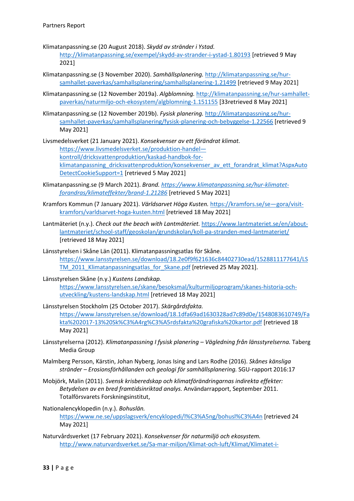Klimatanpassning.se (20 August 2018). *Skydd av stränder i Ystad.* 

<http://klimatanpassning.se/exempel/skydd-av-strander-i-ystad-1.80193> [retrieved 9 May 2021]

- Klimatanpassning.se (3 November 2020). *Samhällsplanering.* [http://klimatanpassning.se/hur](http://klimatanpassning.se/hur-samhallet-paverkas/samhallsplanering/samhallsplanering-1.21499)[samhallet-paverkas/samhallsplanering/samhallsplanering-1.21499](http://klimatanpassning.se/hur-samhallet-paverkas/samhallsplanering/samhallsplanering-1.21499) [retrieved 9 May 2021]
- Klimatanpassning.se (12 November 2019a). *Algblomning.* [http://klimatanpassning.se/hur-samhallet](http://klimatanpassning.se/hur-samhallet-paverkas/naturmiljo-och-ekosystem/algblomning-1.151155)[paverkas/naturmiljo-och-ekosystem/algblomning-1.151155](http://klimatanpassning.se/hur-samhallet-paverkas/naturmiljo-och-ekosystem/algblomning-1.151155) [33retrieved 8 May 2021]
- Klimatanpassning.se (12 November 2019b). *Fysisk planering.* [http://klimatanpassning.se/hur](http://klimatanpassning.se/hur-samhallet-paverkas/samhallsplanering/fysisk-planering-och-bebyggelse-1.22566)[samhallet-paverkas/samhallsplanering/fysisk-planering-och-bebyggelse-1.22566](http://klimatanpassning.se/hur-samhallet-paverkas/samhallsplanering/fysisk-planering-och-bebyggelse-1.22566) [retrieved 9 May 2021]

Livsmedelsverket (21 January 2021). *Konsekvenser av ett förändrat klimat.*  [https://www.livsmedelsverket.se/produktion-handel](https://www.livsmedelsverket.se/produktion-handel--kontroll/dricksvattenproduktion/kaskad-handbok-for-klimatanpassning_dricksvattenproduktion/konsekvenser_av_ett_forandrat_klimat?AspxAutoDetectCookieSupport=1) [kontroll/dricksvattenproduktion/kaskad-handbok-for](https://www.livsmedelsverket.se/produktion-handel--kontroll/dricksvattenproduktion/kaskad-handbok-for-klimatanpassning_dricksvattenproduktion/konsekvenser_av_ett_forandrat_klimat?AspxAutoDetectCookieSupport=1)klimatanpassning dricksvattenproduktion/konsekvenser av ett forandrat klimat?AspxAuto [DetectCookieSupport=1](https://www.livsmedelsverket.se/produktion-handel--kontroll/dricksvattenproduktion/kaskad-handbok-for-klimatanpassning_dricksvattenproduktion/konsekvenser_av_ett_forandrat_klimat?AspxAutoDetectCookieSupport=1) [retrieved 5 May 2021]

- Klimatanpassning.se (9 March 2021). *Brand. [https://www.klimatanpassning.se/hur-klimatet](https://www.klimatanpassning.se/hur-klimatet-forandras/klimateffekter/brand-1.21286)[forandras/klimateffekter/brand-1.21286](https://www.klimatanpassning.se/hur-klimatet-forandras/klimateffekter/brand-1.21286)* [retrieved 5 May 2021]
- Kramfors Kommun (7 January 2021). *Världsarvet Höga Kusten.* [https://kramfors.se/se—gora/visit](https://kramfors.se/se--gora/visit-kramfors/varldsarvet-hoga-kusten.html)[kramfors/varldsarvet-hoga-kusten.html](https://kramfors.se/se--gora/visit-kramfors/varldsarvet-hoga-kusten.html) [retrieved 18 May 2021]
- Lantmäteriet (n.y.). *Check out the beach with Lantmäteriet.* [https://www.lantmateriet.se/en/about](https://www.lantmateriet.se/en/about-lantmateriet/school-staff/geoskolan/grundskolan/koll-pa-stranden-med-lantmateriet/)[lantmateriet/school-staff/geoskolan/grundskolan/koll-pa-stranden-med-lantmateriet/](https://www.lantmateriet.se/en/about-lantmateriet/school-staff/geoskolan/grundskolan/koll-pa-stranden-med-lantmateriet/) [retrieved 18 May 2021]
- Länsstyrelsen i Skåne Län (2011). Klimatanpassningsatlas för Skåne. [https://www.lansstyrelsen.se/download/18.2e0f9f621636c84402730ead/1528811177641/LS](https://www.lansstyrelsen.se/download/18.2e0f9f621636c84402730ead/1528811177641/LSTM_2011_Klimatanpassningsatlas_for_Skane.pdf) [TM\\_2011\\_Klimatanpassningsatlas\\_for\\_Skane.pdf](https://www.lansstyrelsen.se/download/18.2e0f9f621636c84402730ead/1528811177641/LSTM_2011_Klimatanpassningsatlas_for_Skane.pdf) [retrieved 25 May 2021].
- Länsstyrelsen Skåne (n.y.) *Kustens Landskap.*  [https://www.lansstyrelsen.se/skane/besoksmal/kulturmiljoprogram/skanes-historia-och](https://www.lansstyrelsen.se/skane/besoksmal/kulturmiljoprogram/skanes-historia-och-utveckling/kustens-landskap.html)[utveckling/kustens-landskap.html](https://www.lansstyrelsen.se/skane/besoksmal/kulturmiljoprogram/skanes-historia-och-utveckling/kustens-landskap.html) [retrieved 18 May 2021]
- Länsstyrelsen Stockholm (25 October 2017). *Skärgårdsfakta.*  [https://www.lansstyrelsen.se/download/18.1dfa69ad1630328ad7c89d0e/1548083610749/Fa](https://www.lansstyrelsen.se/download/18.1dfa69ad1630328ad7c89d0e/1548083610749/Fakta%202017-13%20Sk%C3%A4rg%C3%A5rdsfakta%20grafiska%20kartor.pdf) [kta%202017-13%20Sk%C3%A4rg%C3%A5rdsfakta%20grafiska%20kartor.pdf](https://www.lansstyrelsen.se/download/18.1dfa69ad1630328ad7c89d0e/1548083610749/Fakta%202017-13%20Sk%C3%A4rg%C3%A5rdsfakta%20grafiska%20kartor.pdf) [retrieved 18 May 2021]
- Länsstyrelserna (2012). *Klimatanpassning I fysisk planering – Vägledning från länsstyrelserna.* Taberg Media Group
- Malmberg Persson, Kärstin, Johan Nyberg, Jonas Ising and Lars Rodhe (2016). *Skånes känsliga stränder – Erosionsförhållanden och geologi för samhällsplanering.* SGU-rapport 2016:17
- Mobjörk, Malin (2011). *Svensk krisberedskap och klimatförändringarnas indirekta effekter: Betydelsen av en bred framtidsinriktad analys.* Användarrapport, September 2011. Totalförsvarets Forskningsinstitut,
- Nationalencyklopedin (n.y.). *Bohuslän.*

<https://www.ne.se/uppslagsverk/encyklopedi/l%C3%A5ng/bohusl%C3%A4n> [retrieved 24 May 2021]

Naturvårdsverket (17 February 2021). *Konsekvenser för naturmiljö och ekosystem.* [http://www.naturvardsverket.se/Sa-mar-miljon/Klimat-och-luft/Klimat/Klimatet-i-](http://www.naturvardsverket.se/Sa-mar-miljon/Klimat-och-luft/Klimat/Klimatet-i-framtiden/Effekter-i-Sverige/Konsekvenser-for-naturmiljo-och-ekosystem/)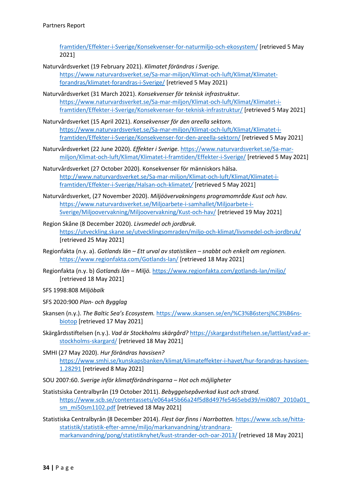[framtiden/Effekter-i-Sverige/Konsekvenser-for-naturmiljo-och-ekosystem/](http://www.naturvardsverket.se/Sa-mar-miljon/Klimat-och-luft/Klimat/Klimatet-i-framtiden/Effekter-i-Sverige/Konsekvenser-for-naturmiljo-och-ekosystem/) [retrieved 5 May 2021]

- Naturvårdsverket (19 February 2021). *Klimatet förändras i Sverige.*  [https://www.naturvardsverket.se/Sa-mar-miljon/Klimat-och-luft/Klimat/Klimatet](https://www.naturvardsverket.se/Sa-mar-miljon/Klimat-och-luft/Klimat/Klimatet-forandras/klimatet-forandras-i-Sverige/)[forandras/klimatet-forandras-i-Sverige/](https://www.naturvardsverket.se/Sa-mar-miljon/Klimat-och-luft/Klimat/Klimatet-forandras/klimatet-forandras-i-Sverige/) [retrieved 5 May 2021)
- Naturvårdsverket (31 March 2021). *Konsekvenser för teknisk infrastruktur.*  [https://www.naturvardsverket.se/Sa-mar-miljon/Klimat-och-luft/Klimat/Klimatet-i](https://www.naturvardsverket.se/Sa-mar-miljon/Klimat-och-luft/Klimat/Klimatet-i-framtiden/Effekter-i-Sverige/Konsekvenser-for-teknisk-infrastruktur/)[framtiden/Effekter-i-Sverige/Konsekvenser-for-teknisk-infrastruktur/](https://www.naturvardsverket.se/Sa-mar-miljon/Klimat-och-luft/Klimat/Klimatet-i-framtiden/Effekter-i-Sverige/Konsekvenser-for-teknisk-infrastruktur/) [retrieved 5 May 2021]
- Naturvårdsverket (15 April 2021). *Konsekvenser för den areella sektorn.*  [https://www.naturvardsverket.se/Sa-mar-miljon/Klimat-och-luft/Klimat/Klimatet-i](https://www.naturvardsverket.se/Sa-mar-miljon/Klimat-och-luft/Klimat/Klimatet-i-framtiden/Effekter-i-Sverige/Konsekvenser-for-den-areella-sektorn/)[framtiden/Effekter-i-Sverige/Konsekvenser-for-den-areella-sektorn/](https://www.naturvardsverket.se/Sa-mar-miljon/Klimat-och-luft/Klimat/Klimatet-i-framtiden/Effekter-i-Sverige/Konsekvenser-for-den-areella-sektorn/) [retrieved 5 May 2021]
- Naturvårdsverket (22 June 2020). *Effekter i Sverige.* [https://www.naturvardsverket.se/Sa-mar](https://www.naturvardsverket.se/Sa-mar-miljon/Klimat-och-luft/Klimat/Klimatet-i-framtiden/Effekter-i-Sverige/)[miljon/Klimat-och-luft/Klimat/Klimatet-i-framtiden/Effekter-i-Sverige/](https://www.naturvardsverket.se/Sa-mar-miljon/Klimat-och-luft/Klimat/Klimatet-i-framtiden/Effekter-i-Sverige/) [retrieved 5 May 2021]
- Naturvårdsverket (27 October 2020). Konsekvenser för människors hälsa. [http://www.naturvardsverket.se/Sa-mar-miljon/Klimat-och-luft/Klimat/Klimatet-i](http://www.naturvardsverket.se/Sa-mar-miljon/Klimat-och-luft/Klimat/Klimatet-i-framtiden/Effekter-i-Sverige/Halsan-och-klimatet/)[framtiden/Effekter-i-Sverige/Halsan-och-klimatet](http://www.naturvardsverket.se/Sa-mar-miljon/Klimat-och-luft/Klimat/Klimatet-i-framtiden/Effekter-i-Sverige/Halsan-och-klimatet/)*/* [retrieved 5 May 2021]
- Naturvårdsverket, (27 November 2020). *Miljöövervakningens programområde Kust och hav.*  [https://www.naturvardsverket.se/Miljoarbete-i-samhallet/Miljoarbete-i-](https://www.naturvardsverket.se/Miljoarbete-i-samhallet/Miljoarbete-i-Sverige/Miljoovervakning/Miljoovervakning/Kust-och-hav/)[Sverige/Miljoovervakning/Miljoovervakning/Kust-och-hav/](https://www.naturvardsverket.se/Miljoarbete-i-samhallet/Miljoarbete-i-Sverige/Miljoovervakning/Miljoovervakning/Kust-och-hav/) [retrieved 19 May 2021]
- Region Skåne (8 December 2020). *Livsmedel och jordbruk.*  <https://utveckling.skane.se/utvecklingsomraden/miljo-och-klimat/livsmedel-och-jordbruk/> [retrieved 25 May 2021]
- Regionfakta (n.y. a). *Gotlands län – Ett urval av statistiken – snabbt och enkelt om regionen.*  <https://www.regionfakta.com/Gotlands-lan/> [retrieved 18 May 2021]
- Regionfakta (n.y. b) *Gotlands län – Miljö.* <https://www.regionfakta.com/gotlands-lan/miljo/> [retrieved 18 May 2021]
- SFS 1998:808 *Miljöbalk*
- SFS 2020:900 *Plan- och Bygglag*
- Skansen (n.y.). *The Baltic Sea's Ecosystem.* [https://www.skansen.se/en/%C3%B6stersj%C3%B6ns](https://www.skansen.se/en/%C3%B6stersj%C3%B6ns-biotop)[biotop](https://www.skansen.se/en/%C3%B6stersj%C3%B6ns-biotop) [retrieved 17 May 2021]
- Skärgårdsstiftelsen (n.y.). *Vad är Stockholms skärgård?* [https://skargardsstiftelsen.se/lattlast/vad-ar](https://skargardsstiftelsen.se/lattlast/vad-ar-stockholms-skargard/)[stockholms-skargard/](https://skargardsstiftelsen.se/lattlast/vad-ar-stockholms-skargard/) [retrieved 18 May 2021]
- SMHI (27 May 2020). *Hur förändras havsisen?*  [https://www.smhi.se/kunskapsbanken/klimat/klimateffekter-i-havet/hur-forandras-havsisen-](https://www.smhi.se/kunskapsbanken/klimat/klimateffekter-i-havet/hur-forandras-havsisen-1.28291)[1.28291](https://www.smhi.se/kunskapsbanken/klimat/klimateffekter-i-havet/hur-forandras-havsisen-1.28291) [retrieved 8 May 2021]
- SOU 2007:60. *Sverige inför klimatförändringarna – Hot och möjligheter*
- Statistsiska Centralbyrån (19 October 2011). *Bebyggelsepåverkad kust och strand.*  [https://www.scb.se/contentassets/e064a45b66a24f5d8d497fe5465ebd39/mi0807\\_2010a01\\_](https://www.scb.se/contentassets/e064a45b66a24f5d8d497fe5465ebd39/mi0807_2010a01_sm_mi50sm1102.pdf) [sm\\_mi50sm1102.pdf](https://www.scb.se/contentassets/e064a45b66a24f5d8d497fe5465ebd39/mi0807_2010a01_sm_mi50sm1102.pdf) [retrieved 18 May 2021]
- Statistiska Centralbyrån (8 December 2014). *Flest öar finns i Norrbotten.* [https://www.scb.se/hitta](https://www.scb.se/hitta-statistik/statistik-efter-amne/miljo/markanvandning/strandnara-markanvandning/pong/statistiknyhet/kust-strander-och-oar-2013/)[statistik/statistik-efter-amne/miljo/markanvandning/strandnara](https://www.scb.se/hitta-statistik/statistik-efter-amne/miljo/markanvandning/strandnara-markanvandning/pong/statistiknyhet/kust-strander-och-oar-2013/)[markanvandning/pong/statistiknyhet/kust-strander-och-oar-2013/](https://www.scb.se/hitta-statistik/statistik-efter-amne/miljo/markanvandning/strandnara-markanvandning/pong/statistiknyhet/kust-strander-och-oar-2013/) [retrieved 18 May 2021]